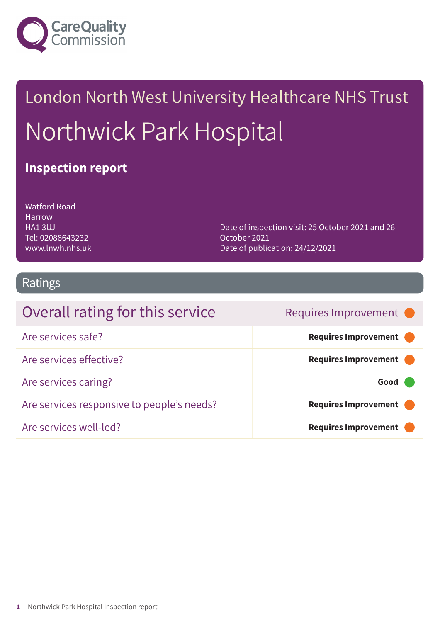

# London North West University Healthcare NHS Trust Northwick Park Hospital

### **Inspection report**

Watford Road Harrow HA1 3UJ Tel: 02088643232 www.lnwh.nhs.uk

Date of inspection visit: 25 October 2021 and 26 October 2021 Date of publication: 24/12/2021

### Ratings

| Overall rating for this service            | Requires Improvement •      |
|--------------------------------------------|-----------------------------|
| Are services safe?                         | Requires Improvement        |
| Are services effective?                    | Requires Improvement        |
| Are services caring?                       | Good                        |
| Are services responsive to people's needs? | Requires Improvement        |
| Are services well-led?                     | <b>Requires Improvement</b> |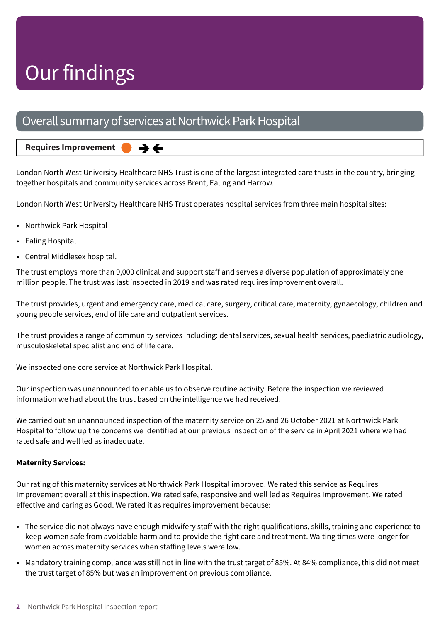## Our findings

### Overall summary of services at Northwick Park Hospital

 $\rightarrow$   $\leftarrow$ 

#### **Requires Improvement –––**

London North West University Healthcare NHS Trust is one of the largest integrated care trusts in the country, bringing together hospitals and community services across Brent, Ealing and Harrow.

London North West University Healthcare NHS Trust operates hospital services from three main hospital sites:

- Northwick Park Hospital
- Ealing Hospital
- Central Middlesex hospital.

The trust employs more than 9,000 clinical and support staff and serves a diverse population of approximately one million people. The trust was last inspected in 2019 and was rated requires improvement overall.

The trust provides, urgent and emergency care, medical care, surgery, critical care, maternity, gynaecology, children and young people services, end of life care and outpatient services.

The trust provides a range of community services including: dental services, sexual health services, paediatric audiology, musculoskeletal specialist and end of life care.

We inspected one core service at Northwick Park Hospital.

Our inspection was unannounced to enable us to observe routine activity. Before the inspection we reviewed information we had about the trust based on the intelligence we had received.

We carried out an unannounced inspection of the maternity service on 25 and 26 October 2021 at Northwick Park Hospital to follow up the concerns we identified at our previous inspection of the service in April 2021 where we had rated safe and well led as inadequate.

#### **Maternity Services:**

Our rating of this maternity services at Northwick Park Hospital improved. We rated this service as Requires Improvement overall at this inspection. We rated safe, responsive and well led as Requires Improvement. We rated effective and caring as Good. We rated it as requires improvement because:

- The service did not always have enough midwifery staff with the right qualifications, skills, training and experience to keep women safe from avoidable harm and to provide the right care and treatment. Waiting times were longer for women across maternity services when staffing levels were low.
- Mandatory training compliance was still not in line with the trust target of 85%. At 84% compliance, this did not meet the trust target of 85% but was an improvement on previous compliance.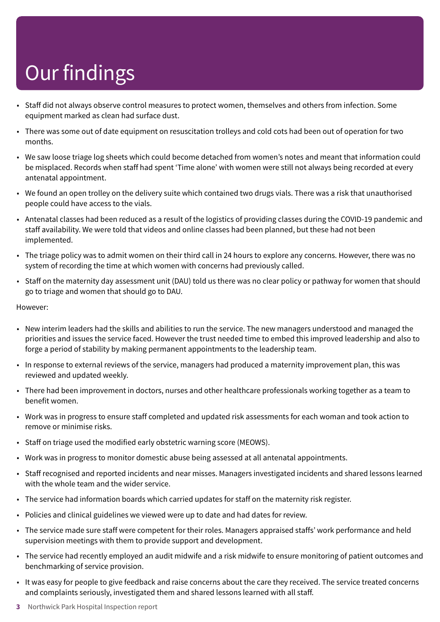# Our findings

- Staff did not always observe control measures to protect women, themselves and others from infection. Some equipment marked as clean had surface dust.
- There was some out of date equipment on resuscitation trolleys and cold cots had been out of operation for two months.
- We saw loose triage log sheets which could become detached from women's notes and meant that information could be misplaced. Records when staff had spent 'Time alone' with women were still not always being recorded at every antenatal appointment.
- We found an open trolley on the delivery suite which contained two drugs vials. There was a risk that unauthorised people could have access to the vials.
- Antenatal classes had been reduced as a result of the logistics of providing classes during the COVID-19 pandemic and staff availability. We were told that videos and online classes had been planned, but these had not been implemented.
- The triage policy was to admit women on their third call in 24 hours to explore any concerns. However, there was no system of recording the time at which women with concerns had previously called.
- Staff on the maternity day assessment unit (DAU) told us there was no clear policy or pathway for women that should go to triage and women that should go to DAU.

However:

- New interim leaders had the skills and abilities to run the service. The new managers understood and managed the priorities and issues the service faced. However the trust needed time to embed this improved leadership and also to forge a period of stability by making permanent appointments to the leadership team.
- In response to external reviews of the service, managers had produced a maternity improvement plan, this was reviewed and updated weekly.
- There had been improvement in doctors, nurses and other healthcare professionals working together as a team to benefit women.
- Work was in progress to ensure staff completed and updated risk assessments for each woman and took action to remove or minimise risks.
- Staff on triage used the modified early obstetric warning score (MEOWS).
- Work was in progress to monitor domestic abuse being assessed at all antenatal appointments.
- Staff recognised and reported incidents and near misses. Managers investigated incidents and shared lessons learned with the whole team and the wider service.
- The service had information boards which carried updates for staff on the maternity risk register.
- Policies and clinical guidelines we viewed were up to date and had dates for review.
- The service made sure staff were competent for their roles. Managers appraised staffs' work performance and held supervision meetings with them to provide support and development.
- The service had recently employed an audit midwife and a risk midwife to ensure monitoring of patient outcomes and benchmarking of service provision.
- It was easy for people to give feedback and raise concerns about the care they received. The service treated concerns and complaints seriously, investigated them and shared lessons learned with all staff.
- **3** Northwick Park Hospital Inspection report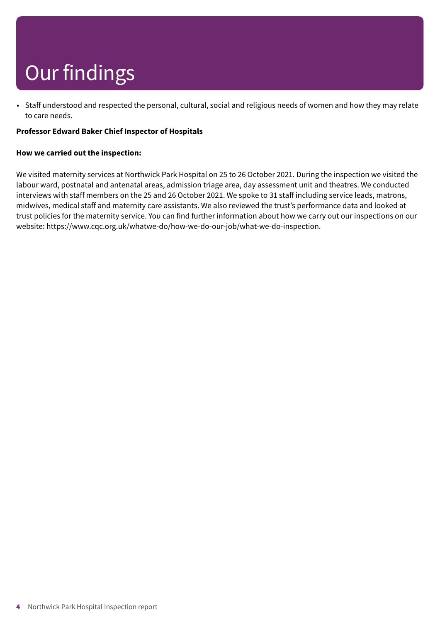# Our findings

• Staff understood and respected the personal, cultural, social and religious needs of women and how they may relate to care needs.

#### **Professor Edward Baker Chief Inspector of Hospitals**

#### **How we carried out the inspection:**

We visited maternity services at Northwick Park Hospital on 25 to 26 October 2021. During the inspection we visited the labour ward, postnatal and antenatal areas, admission triage area, day assessment unit and theatres. We conducted interviews with staff members on the 25 and 26 October 2021. We spoke to 31 staff including service leads, matrons, midwives, medical staff and maternity care assistants. We also reviewed the trust's performance data and looked at trust policies for the maternity service. You can find further information about how we carry out our inspections on our website: https://www.cqc.org.uk/whatwe-do/how-we-do-our-job/what-we-do-inspection.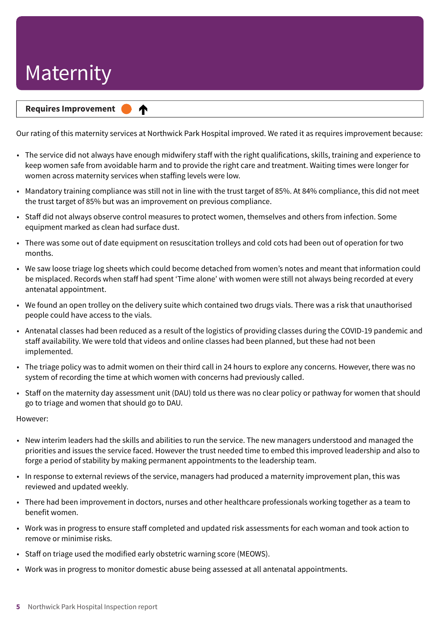#### **Requires Improvement –––**

♠

Our rating of this maternity services at Northwick Park Hospital improved. We rated it as requires improvement because:

- The service did not always have enough midwifery staff with the right qualifications, skills, training and experience to keep women safe from avoidable harm and to provide the right care and treatment. Waiting times were longer for women across maternity services when staffing levels were low.
- Mandatory training compliance was still not in line with the trust target of 85%. At 84% compliance, this did not meet the trust target of 85% but was an improvement on previous compliance.
- Staff did not always observe control measures to protect women, themselves and others from infection. Some equipment marked as clean had surface dust.
- There was some out of date equipment on resuscitation trolleys and cold cots had been out of operation for two months.
- We saw loose triage log sheets which could become detached from women's notes and meant that information could be misplaced. Records when staff had spent 'Time alone' with women were still not always being recorded at every antenatal appointment.
- We found an open trolley on the delivery suite which contained two drugs vials. There was a risk that unauthorised people could have access to the vials.
- Antenatal classes had been reduced as a result of the logistics of providing classes during the COVID-19 pandemic and staff availability. We were told that videos and online classes had been planned, but these had not been implemented.
- The triage policy was to admit women on their third call in 24 hours to explore any concerns. However, there was no system of recording the time at which women with concerns had previously called.
- Staff on the maternity day assessment unit (DAU) told us there was no clear policy or pathway for women that should go to triage and women that should go to DAU.

However:

- New interim leaders had the skills and abilities to run the service. The new managers understood and managed the priorities and issues the service faced. However the trust needed time to embed this improved leadership and also to forge a period of stability by making permanent appointments to the leadership team.
- In response to external reviews of the service, managers had produced a maternity improvement plan, this was reviewed and updated weekly.
- There had been improvement in doctors, nurses and other healthcare professionals working together as a team to benefit women.
- Work was in progress to ensure staff completed and updated risk assessments for each woman and took action to remove or minimise risks.
- Staff on triage used the modified early obstetric warning score (MEOWS).
- Work was in progress to monitor domestic abuse being assessed at all antenatal appointments.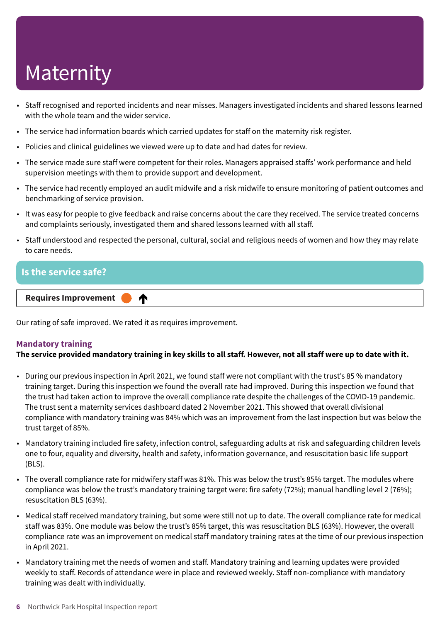- Staff recognised and reported incidents and near misses. Managers investigated incidents and shared lessons learned with the whole team and the wider service.
- The service had information boards which carried updates for staff on the maternity risk register.
- Policies and clinical guidelines we viewed were up to date and had dates for review.
- The service made sure staff were competent for their roles. Managers appraised staffs' work performance and held supervision meetings with them to provide support and development.
- The service had recently employed an audit midwife and a risk midwife to ensure monitoring of patient outcomes and benchmarking of service provision.
- It was easy for people to give feedback and raise concerns about the care they received. The service treated concerns and complaints seriously, investigated them and shared lessons learned with all staff.
- Staff understood and respected the personal, cultural, social and religious needs of women and how they may relate to care needs.

### **Is the service safe? Requires Improvement –––** ⋔

Our rating of safe improved. We rated it as requires improvement.

#### **Mandatory training**

#### The service provided mandatory training in key skills to all staff. However, not all staff were up to date with it.

- During our previous inspection in April 2021, we found staff were not compliant with the trust's 85 % mandatory training target. During this inspection we found the overall rate had improved. During this inspection we found that the trust had taken action to improve the overall compliance rate despite the challenges of the COVID-19 pandemic. The trust sent a maternity services dashboard dated 2 November 2021. This showed that overall divisional compliance with mandatory training was 84% which was an improvement from the last inspection but was below the trust target of 85%.
- Mandatory training included fire safety, infection control, safeguarding adults at risk and safeguarding children levels one to four, equality and diversity, health and safety, information governance, and resuscitation basic life support (BLS).
- The overall compliance rate for midwifery staff was 81%. This was below the trust's 85% target. The modules where compliance was below the trust's mandatory training target were: fire safety (72%); manual handling level 2 (76%); resuscitation BLS (63%).
- Medical staff received mandatory training, but some were still not up to date. The overall compliance rate for medical staff was 83%. One module was below the trust's 85% target, this was resuscitation BLS (63%). However, the overall compliance rate was an improvement on medical staff mandatory training rates at the time of our previous inspection in April 2021.
- Mandatory training met the needs of women and staff. Mandatory training and learning updates were provided weekly to staff. Records of attendance were in place and reviewed weekly. Staff non-compliance with mandatory training was dealt with individually.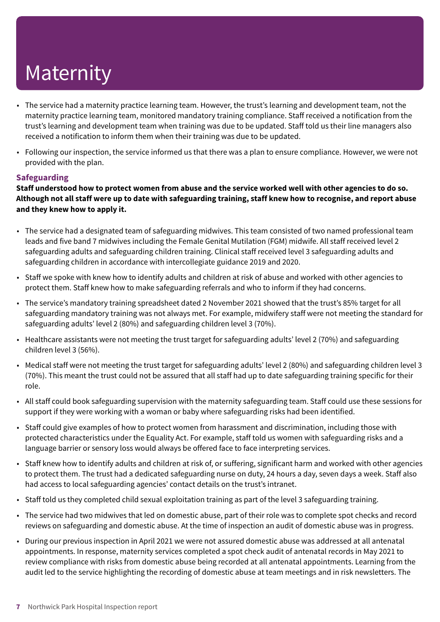- The service had a maternity practice learning team. However, the trust's learning and development team, not the maternity practice learning team, monitored mandatory training compliance. Staff received a notification from the trust's learning and development team when training was due to be updated. Staff told us their line managers also received a notification to inform them when their training was due to be updated.
- Following our inspection, the service informed us that there was a plan to ensure compliance. However, we were not provided with the plan.

#### **Safeguarding**

Staff understood how to protect women from abuse and the service worked well with other agencies to do so. Although not all staff were up to date with safeguarding training, staff knew how to recognise, and report abuse **and they knew how to apply it.**

- The service had a designated team of safeguarding midwives. This team consisted of two named professional team leads and five band 7 midwives including the Female Genital Mutilation (FGM) midwife. All staff received level 2 safeguarding adults and safeguarding children training. Clinical staff received level 3 safeguarding adults and safeguarding children in accordance with intercollegiate guidance 2019 and 2020.
- Staff we spoke with knew how to identify adults and children at risk of abuse and worked with other agencies to protect them. Staff knew how to make safeguarding referrals and who to inform if they had concerns.
- The service's mandatory training spreadsheet dated 2 November 2021 showed that the trust's 85% target for all safeguarding mandatory training was not always met. For example, midwifery staff were not meeting the standard for safeguarding adults' level 2 (80%) and safeguarding children level 3 (70%).
- Healthcare assistants were not meeting the trust target for safeguarding adults' level 2 (70%) and safeguarding children level 3 (56%).
- Medical staff were not meeting the trust target for safeguarding adults' level 2 (80%) and safeguarding children level 3 (70%). This meant the trust could not be assured that all staff had up to date safeguarding training specific for their role.
- All staff could book safeguarding supervision with the maternity safeguarding team. Staff could use these sessions for support if they were working with a woman or baby where safeguarding risks had been identified.
- Staff could give examples of how to protect women from harassment and discrimination, including those with protected characteristics under the Equality Act. For example, staff told us women with safeguarding risks and a language barrier or sensory loss would always be offered face to face interpreting services.
- Staff knew how to identify adults and children at risk of, or suffering, significant harm and worked with other agencies to protect them. The trust had a dedicated safeguarding nurse on duty, 24 hours a day, seven days a week. Staff also had access to local safeguarding agencies' contact details on the trust's intranet.
- Staff told us they completed child sexual exploitation training as part of the level 3 safeguarding training.
- The service had two midwives that led on domestic abuse, part of their role was to complete spot checks and record reviews on safeguarding and domestic abuse. At the time of inspection an audit of domestic abuse was in progress.
- During our previous inspection in April 2021 we were not assured domestic abuse was addressed at all antenatal appointments. In response, maternity services completed a spot check audit of antenatal records in May 2021 to review compliance with risks from domestic abuse being recorded at all antenatal appointments. Learning from the audit led to the service highlighting the recording of domestic abuse at team meetings and in risk newsletters. The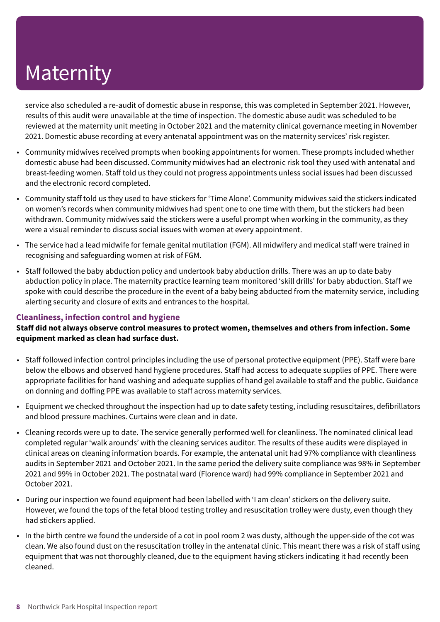service also scheduled a re-audit of domestic abuse in response, this was completed in September 2021. However, results of this audit were unavailable at the time of inspection. The domestic abuse audit was scheduled to be reviewed at the maternity unit meeting in October 2021 and the maternity clinical governance meeting in November 2021. Domestic abuse recording at every antenatal appointment was on the maternity services' risk register.

- Community midwives received prompts when booking appointments for women. These prompts included whether domestic abuse had been discussed. Community midwives had an electronic risk tool they used with antenatal and breast-feeding women. Staff told us they could not progress appointments unless social issues had been discussed and the electronic record completed.
- Community staff told us they used to have stickers for 'Time Alone'. Community midwives said the stickers indicated on women's records when community midwives had spent one to one time with them, but the stickers had been withdrawn. Community midwives said the stickers were a useful prompt when working in the community, as they were a visual reminder to discuss social issues with women at every appointment.
- The service had a lead midwife for female genital mutilation (FGM). All midwifery and medical staff were trained in recognising and safeguarding women at risk of FGM.
- Staff followed the baby abduction policy and undertook baby abduction drills. There was an up to date baby abduction policy in place. The maternity practice learning team monitored 'skill drills' for baby abduction. Staff we spoke with could describe the procedure in the event of a baby being abducted from the maternity service, including alerting security and closure of exits and entrances to the hospital.

#### **Cleanliness, infection control and hygiene**

**Staff did not always observe control measures to protect women, themselves and others from infection. Some equipment marked as clean had surface dust.**

- Staff followed infection control principles including the use of personal protective equipment (PPE). Staff were bare below the elbows and observed hand hygiene procedures. Staff had access to adequate supplies of PPE. There were appropriate facilities for hand washing and adequate supplies of hand gel available to staff and the public. Guidance on donning and doffing PPE was available to staff across maternity services.
- Equipment we checked throughout the inspection had up to date safety testing, including resuscitaires, defibrillators and blood pressure machines. Curtains were clean and in date.
- Cleaning records were up to date. The service generally performed well for cleanliness. The nominated clinical lead completed regular 'walk arounds' with the cleaning services auditor. The results of these audits were displayed in clinical areas on cleaning information boards. For example, the antenatal unit had 97% compliance with cleanliness audits in September 2021 and October 2021. In the same period the delivery suite compliance was 98% in September 2021 and 99% in October 2021. The postnatal ward (Florence ward) had 99% compliance in September 2021 and October 2021.
- During our inspection we found equipment had been labelled with 'I am clean' stickers on the delivery suite. However, we found the tops of the fetal blood testing trolley and resuscitation trolley were dusty, even though they had stickers applied.
- In the birth centre we found the underside of a cot in pool room 2 was dusty, although the upper-side of the cot was clean. We also found dust on the resuscitation trolley in the antenatal clinic. This meant there was a risk of staff using equipment that was not thoroughly cleaned, due to the equipment having stickers indicating it had recently been cleaned.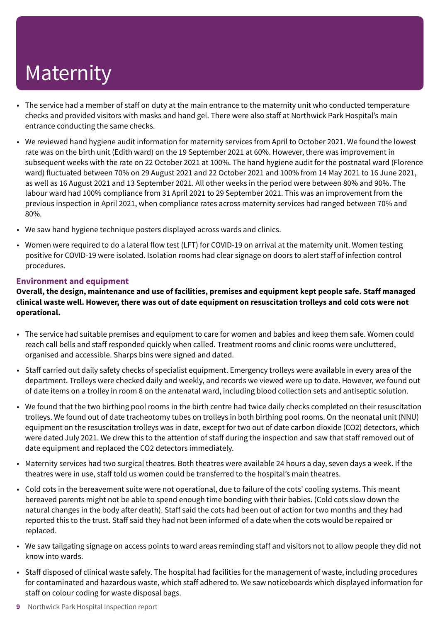- The service had a member of staff on duty at the main entrance to the maternity unit who conducted temperature checks and provided visitors with masks and hand gel. There were also staff at Northwick Park Hospital's main entrance conducting the same checks.
- We reviewed hand hygiene audit information for maternity services from April to October 2021. We found the lowest rate was on the birth unit (Edith ward) on the 19 September 2021 at 60%. However, there was improvement in subsequent weeks with the rate on 22 October 2021 at 100%. The hand hygiene audit for the postnatal ward (Florence ward) fluctuated between 70% on 29 August 2021 and 22 October 2021 and 100% from 14 May 2021 to 16 June 2021, as well as 16 August 2021 and 13 September 2021. All other weeks in the period were between 80% and 90%. The labour ward had 100% compliance from 31 April 2021 to 29 September 2021. This was an improvement from the previous inspection in April 2021, when compliance rates across maternity services had ranged between 70% and 80%.
- We saw hand hygiene technique posters displayed across wards and clinics.
- Women were required to do a lateral flow test (LFT) for COVID-19 on arrival at the maternity unit. Women testing positive for COVID-19 were isolated. Isolation rooms had clear signage on doors to alert staff of infection control procedures.

#### **Environment and equipment**

**Overall, the design, maintenance and use of facilities, premises and equipment kept people safe. Staff managed** clinical waste well. However, there was out of date equipment on resuscitation trolleys and cold cots were not **operational.**

- The service had suitable premises and equipment to care for women and babies and keep them safe. Women could reach call bells and staff responded quickly when called. Treatment rooms and clinic rooms were uncluttered, organised and accessible. Sharps bins were signed and dated.
- Staff carried out daily safety checks of specialist equipment. Emergency trolleys were available in every area of the department. Trolleys were checked daily and weekly, and records we viewed were up to date. However, we found out of date items on a trolley in room 8 on the antenatal ward, including blood collection sets and antiseptic solution.
- We found that the two birthing pool rooms in the birth centre had twice daily checks completed on their resuscitation trolleys. We found out of date tracheotomy tubes on trolleys in both birthing pool rooms. On the neonatal unit (NNU) equipment on the resuscitation trolleys was in date, except for two out of date carbon dioxide (CO2) detectors, which were dated July 2021. We drew this to the attention of staff during the inspection and saw that staff removed out of date equipment and replaced the CO2 detectors immediately.
- Maternity services had two surgical theatres. Both theatres were available 24 hours a day, seven days a week. If the theatres were in use, staff told us women could be transferred to the hospital's main theatres.
- Cold cots in the bereavement suite were not operational, due to failure of the cots' cooling systems. This meant bereaved parents might not be able to spend enough time bonding with their babies. (Cold cots slow down the natural changes in the body after death). Staff said the cots had been out of action for two months and they had reported this to the trust. Staff said they had not been informed of a date when the cots would be repaired or replaced.
- We saw tailgating signage on access points to ward areas reminding staff and visitors not to allow people they did not know into wards.
- Staff disposed of clinical waste safely. The hospital had facilities for the management of waste, including procedures for contaminated and hazardous waste, which staff adhered to. We saw noticeboards which displayed information for staff on colour coding for waste disposal bags.
- **9** Northwick Park Hospital Inspection report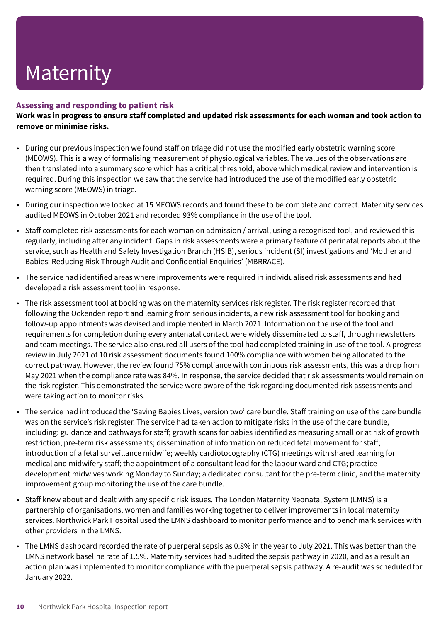#### **Assessing and responding to patient risk**

Work was in progress to ensure staff completed and updated risk assessments for each woman and took action to **remove or minimise risks.**

- During our previous inspection we found staff on triage did not use the modified early obstetric warning score (MEOWS). This is a way of formalising measurement of physiological variables. The values of the observations are then translated into a summary score which has a critical threshold, above which medical review and intervention is required. During this inspection we saw that the service had introduced the use of the modified early obstetric warning score (MEOWS) in triage.
- During our inspection we looked at 15 MEOWS records and found these to be complete and correct. Maternity services audited MEOWS in October 2021 and recorded 93% compliance in the use of the tool.
- Staff completed risk assessments for each woman on admission / arrival, using a recognised tool, and reviewed this regularly, including after any incident. Gaps in risk assessments were a primary feature of perinatal reports about the service, such as Health and Safety Investigation Branch (HSIB), serious incident (SI) investigations and 'Mother and Babies: Reducing Risk Through Audit and Confidential Enquiries' (MBRRACE).
- The service had identified areas where improvements were required in individualised risk assessments and had developed a risk assessment tool in response.
- The risk assessment tool at booking was on the maternity services risk register. The risk register recorded that following the Ockenden report and learning from serious incidents, a new risk assessment tool for booking and follow-up appointments was devised and implemented in March 2021. Information on the use of the tool and requirements for completion during every antenatal contact were widely disseminated to staff, through newsletters and team meetings. The service also ensured all users of the tool had completed training in use of the tool. A progress review in July 2021 of 10 risk assessment documents found 100% compliance with women being allocated to the correct pathway. However, the review found 75% compliance with continuous risk assessments, this was a drop from May 2021 when the compliance rate was 84%. In response, the service decided that risk assessments would remain on the risk register. This demonstrated the service were aware of the risk regarding documented risk assessments and were taking action to monitor risks.
- The service had introduced the 'Saving Babies Lives, version two' care bundle. Staff training on use of the care bundle was on the service's risk register. The service had taken action to mitigate risks in the use of the care bundle, including: guidance and pathways for staff; growth scans for babies identified as measuring small or at risk of growth restriction; pre-term risk assessments; dissemination of information on reduced fetal movement for staff; introduction of a fetal surveillance midwife; weekly cardiotocography (CTG) meetings with shared learning for medical and midwifery staff; the appointment of a consultant lead for the labour ward and CTG; practice development midwives working Monday to Sunday; a dedicated consultant for the pre-term clinic, and the maternity improvement group monitoring the use of the care bundle.
- Staff knew about and dealt with any specific risk issues. The London Maternity Neonatal System (LMNS) is a partnership of organisations, women and families working together to deliver improvements in local maternity services. Northwick Park Hospital used the LMNS dashboard to monitor performance and to benchmark services with other providers in the LMNS.
- The LMNS dashboard recorded the rate of puerperal sepsis as 0.8% in the year to July 2021. This was better than the LMNS network baseline rate of 1.5%. Maternity services had audited the sepsis pathway in 2020, and as a result an action plan was implemented to monitor compliance with the puerperal sepsis pathway. A re-audit was scheduled for January 2022.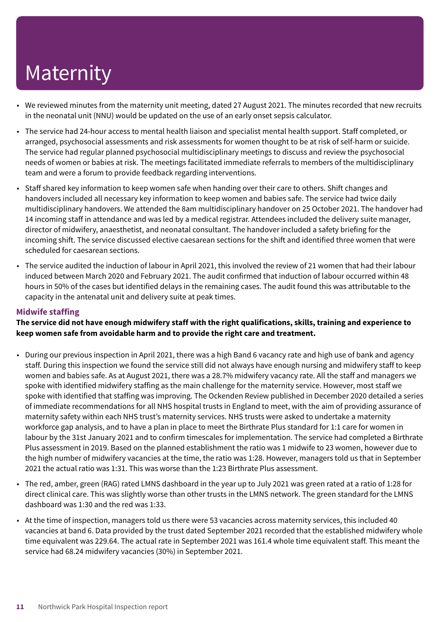- We reviewed minutes from the maternity unit meeting, dated 27 August 2021. The minutes recorded that new recruits in the neonatal unit (NNU) would be updated on the use of an early onset sepsis calculator.
- The service had 24-hour access to mental health liaison and specialist mental health support. Staff completed, or arranged, psychosocial assessments and risk assessments for women thought to be at risk of self-harm or suicide. The service had regular planned psychosocial multidisciplinary meetings to discuss and review the psychosocial needs of women or babies at risk. The meetings facilitated immediate referrals to members of the multidisciplinary team and were a forum to provide feedback regarding interventions.
- Staff shared key information to keep women safe when handing over their care to others. Shift changes and handovers included all necessary key information to keep women and babies safe. The service had twice daily multidisciplinary handovers. We attended the 8am multidisciplinary handover on 25 October 2021. The handover had 14 incoming staff in attendance and was led by a medical registrar. Attendees included the delivery suite manager, director of midwifery, anaesthetist, and neonatal consultant. The handover included a safety briefing for the incoming shift. The service discussed elective caesarean sections for the shift and identified three women that were scheduled for caesarean sections.
- The service audited the induction of labour in April 2021, this involved the review of 21 women that had their labour induced between March 2020 and February 2021. The audit confirmed that induction of labour occurred within 48 hours in 50% of the cases but identified delays in the remaining cases. The audit found this was attributable to the capacity in the antenatal unit and delivery suite at peak times.

#### **Midwife staffing**

#### The service did not have enough midwifery staff with the right qualifications, skills, training and experience to **keep women safe from avoidable harm and to provide the right care and treatment.**

- During our previous inspection in April 2021, there was a high Band 6 vacancy rate and high use of bank and agency staff. During this inspection we found the service still did not always have enough nursing and midwifery staff to keep women and babies safe. As at August 2021, there was a 28.7% midwifery vacancy rate. All the staff and managers we spoke with identified midwifery staffing as the main challenge for the maternity service. However, most staff we spoke with identified that staffing was improving. The Ockenden Review published in December 2020 detailed a series of immediate recommendations for all NHS hospital trusts in England to meet, with the aim of providing assurance of maternity safety within each NHS trust's maternity services. NHS trusts were asked to undertake a maternity workforce gap analysis, and to have a plan in place to meet the Birthrate Plus standard for 1:1 care for women in labour by the 31st January 2021 and to confirm timescales for implementation. The service had completed a Birthrate Plus assessment in 2019. Based on the planned establishment the ratio was 1 midwife to 23 women, however due to the high number of midwifery vacancies at the time, the ratio was 1:28. However, managers told us that in September 2021 the actual ratio was 1:31. This was worse than the 1:23 Birthrate Plus assessment.
- The red, amber, green (RAG) rated LMNS dashboard in the year up to July 2021 was green rated at a ratio of 1:28 for direct clinical care. This was slightly worse than other trusts in the LMNS network. The green standard for the LMNS dashboard was 1:30 and the red was 1:33.
- At the time of inspection, managers told us there were 53 vacancies across maternity services, this included 40 vacancies at band 6. Data provided by the trust dated September 2021 recorded that the established midwifery whole time equivalent was 229.64. The actual rate in September 2021 was 161.4 whole time equivalent staff. This meant the service had 68.24 midwifery vacancies (30%) in September 2021.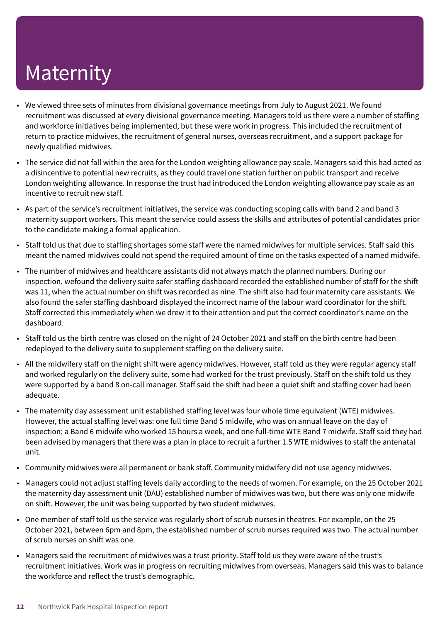- We viewed three sets of minutes from divisional governance meetings from July to August 2021. We found recruitment was discussed at every divisional governance meeting. Managers told us there were a number of staffing and workforce initiatives being implemented, but these were work in progress. This included the recruitment of return to practice midwives, the recruitment of general nurses, overseas recruitment, and a support package for newly qualified midwives.
- The service did not fall within the area for the London weighting allowance pay scale. Managers said this had acted as a disincentive to potential new recruits, as they could travel one station further on public transport and receive London weighting allowance. In response the trust had introduced the London weighting allowance pay scale as an incentive to recruit new staff.
- As part of the service's recruitment initiatives, the service was conducting scoping calls with band 2 and band 3 maternity support workers. This meant the service could assess the skills and attributes of potential candidates prior to the candidate making a formal application.
- Staff told us that due to staffing shortages some staff were the named midwives for multiple services. Staff said this meant the named midwives could not spend the required amount of time on the tasks expected of a named midwife.
- The number of midwives and healthcare assistants did not always match the planned numbers. During our inspection, wefound the delivery suite safer staffing dashboard recorded the established number of staff for the shift was 11, when the actual number on shift was recorded as nine. The shift also had four maternity care assistants. We also found the safer staffing dashboard displayed the incorrect name of the labour ward coordinator for the shift. Staff corrected this immediately when we drew it to their attention and put the correct coordinator's name on the dashboard.
- Staff told us the birth centre was closed on the night of 24 October 2021 and staff on the birth centre had been redeployed to the delivery suite to supplement staffing on the delivery suite.
- All the midwifery staff on the night shift were agency midwives. However, staff told us they were regular agency staff and worked regularly on the delivery suite, some had worked for the trust previously. Staff on the shift told us they were supported by a band 8 on-call manager. Staff said the shift had been a quiet shift and staffing cover had been adequate.
- The maternity day assessment unit established staffing level was four whole time equivalent (WTE) midwives. However, the actual staffing level was: one full time Band 5 midwife, who was on annual leave on the day of inspection; a Band 6 midwife who worked 15 hours a week, and one full-time WTE Band 7 midwife. Staff said they had been advised by managers that there was a plan in place to recruit a further 1.5 WTE midwives to staff the antenatal unit.
- Community midwives were all permanent or bank staff. Community midwifery did not use agency midwives.
- Managers could not adjust staffing levels daily according to the needs of women. For example, on the 25 October 2021 the maternity day assessment unit (DAU) established number of midwives was two, but there was only one midwife on shift. However, the unit was being supported by two student midwives.
- One member of staff told us the service was regularly short of scrub nurses in theatres. For example, on the 25 October 2021, between 6pm and 8pm, the established number of scrub nurses required was two. The actual number of scrub nurses on shift was one.
- Managers said the recruitment of midwives was a trust priority. Staff told us they were aware of the trust's recruitment initiatives. Work was in progress on recruiting midwives from overseas. Managers said this was to balance the workforce and reflect the trust's demographic.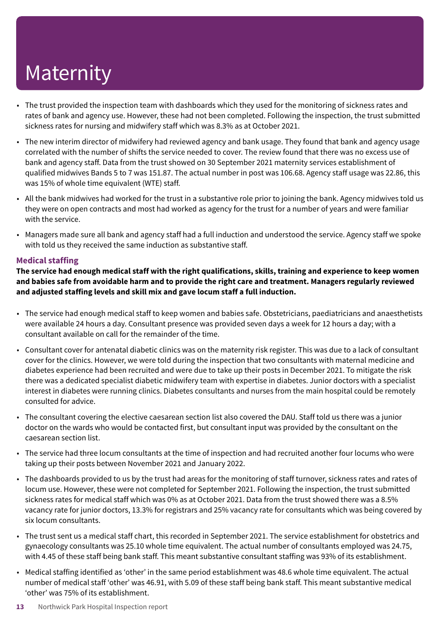- The trust provided the inspection team with dashboards which they used for the monitoring of sickness rates and rates of bank and agency use. However, these had not been completed. Following the inspection, the trust submitted sickness rates for nursing and midwifery staff which was 8.3% as at October 2021.
- The new interim director of midwifery had reviewed agency and bank usage. They found that bank and agency usage correlated with the number of shifts the service needed to cover. The review found that there was no excess use of bank and agency staff. Data from the trust showed on 30 September 2021 maternity services establishment of qualified midwives Bands 5 to 7 was 151.87. The actual number in post was 106.68. Agency staff usage was 22.86, this was 15% of whole time equivalent (WTE) staff.
- All the bank midwives had worked for the trust in a substantive role prior to joining the bank. Agency midwives told us they were on open contracts and most had worked as agency for the trust for a number of years and were familiar with the service.
- Managers made sure all bank and agency staff had a full induction and understood the service. Agency staff we spoke with told us they received the same induction as substantive staff.

#### **Medical staffing**

The service had enough medical staff with the right qualifications, skills, training and experience to keep women and babies safe from avoidable harm and to provide the right care and treatment. Managers regularly reviewed **and adjusted staffing levels and skill mix and gave locum staff a full induction.**

- The service had enough medical staff to keep women and babies safe. Obstetricians, paediatricians and anaesthetists were available 24 hours a day. Consultant presence was provided seven days a week for 12 hours a day; with a consultant available on call for the remainder of the time.
- Consultant cover for antenatal diabetic clinics was on the maternity risk register. This was due to a lack of consultant cover for the clinics. However, we were told during the inspection that two consultants with maternal medicine and diabetes experience had been recruited and were due to take up their posts in December 2021. To mitigate the risk there was a dedicated specialist diabetic midwifery team with expertise in diabetes. Junior doctors with a specialist interest in diabetes were running clinics. Diabetes consultants and nurses from the main hospital could be remotely consulted for advice.
- The consultant covering the elective caesarean section list also covered the DAU. Staff told us there was a junior doctor on the wards who would be contacted first, but consultant input was provided by the consultant on the caesarean section list.
- The service had three locum consultants at the time of inspection and had recruited another four locums who were taking up their posts between November 2021 and January 2022.
- The dashboards provided to us by the trust had areas for the monitoring of staff turnover, sickness rates and rates of locum use. However, these were not completed for September 2021. Following the inspection, the trust submitted sickness rates for medical staff which was 0% as at October 2021. Data from the trust showed there was a 8.5% vacancy rate for junior doctors, 13.3% for registrars and 25% vacancy rate for consultants which was being covered by six locum consultants.
- The trust sent us a medical staff chart, this recorded in September 2021. The service establishment for obstetrics and gynaecology consultants was 25.10 whole time equivalent. The actual number of consultants employed was 24.75, with 4.45 of these staff being bank staff. This meant substantive consultant staffing was 93% of its establishment.
- Medical staffing identified as 'other' in the same period establishment was 48.6 whole time equivalent. The actual number of medical staff 'other' was 46.91, with 5.09 of these staff being bank staff. This meant substantive medical 'other' was 75% of its establishment.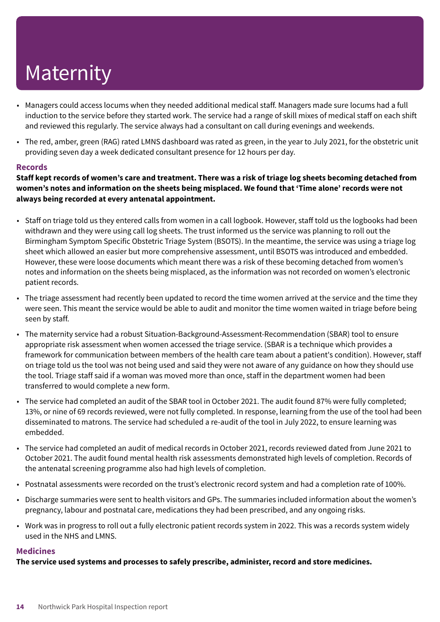- Managers could access locums when they needed additional medical staff. Managers made sure locums had a full induction to the service before they started work. The service had a range of skill mixes of medical staff on each shift and reviewed this regularly. The service always had a consultant on call during evenings and weekends.
- The red, amber, green (RAG) rated LMNS dashboard was rated as green, in the year to July 2021, for the obstetric unit providing seven day a week dedicated consultant presence for 12 hours per day.

#### **Records**

Staff kept records of women's care and treatment. There was a risk of triage log sheets becoming detached from **women's notes and information on the sheets being misplaced. We found that 'Time alone' records were not always being recorded at every antenatal appointment.**

- Staff on triage told us they entered calls from women in a call logbook. However, staff told us the logbooks had been withdrawn and they were using call log sheets. The trust informed us the service was planning to roll out the Birmingham Symptom Specific Obstetric Triage System (BSOTS). In the meantime, the service was using a triage log sheet which allowed an easier but more comprehensive assessment, until BSOTS was introduced and embedded. However, these were loose documents which meant there was a risk of these becoming detached from women's notes and information on the sheets being misplaced, as the information was not recorded on women's electronic patient records.
- The triage assessment had recently been updated to record the time women arrived at the service and the time they were seen. This meant the service would be able to audit and monitor the time women waited in triage before being seen by staff.
- The maternity service had a robust Situation-Background-Assessment-Recommendation (SBAR) tool to ensure appropriate risk assessment when women accessed the triage service. (SBAR is a technique which provides a framework for communication between members of the health care team about a patient's condition). However, staff on triage told us the tool was not being used and said they were not aware of any guidance on how they should use the tool. Triage staff said if a woman was moved more than once, staff in the department women had been transferred to would complete a new form.
- The service had completed an audit of the SBAR tool in October 2021. The audit found 87% were fully completed; 13%, or nine of 69 records reviewed, were not fully completed. In response, learning from the use of the tool had been disseminated to matrons. The service had scheduled a re-audit of the tool in July 2022, to ensure learning was embedded.
- The service had completed an audit of medical records in October 2021, records reviewed dated from June 2021 to October 2021. The audit found mental health risk assessments demonstrated high levels of completion. Records of the antenatal screening programme also had high levels of completion.
- Postnatal assessments were recorded on the trust's electronic record system and had a completion rate of 100%.
- Discharge summaries were sent to health visitors and GPs. The summaries included information about the women's pregnancy, labour and postnatal care, medications they had been prescribed, and any ongoing risks.
- Work was in progress to roll out a fully electronic patient records system in 2022. This was a records system widely used in the NHS and LMNS.

#### **Medicines**

**The service used systems and processes to safely prescribe, administer, record and store medicines.**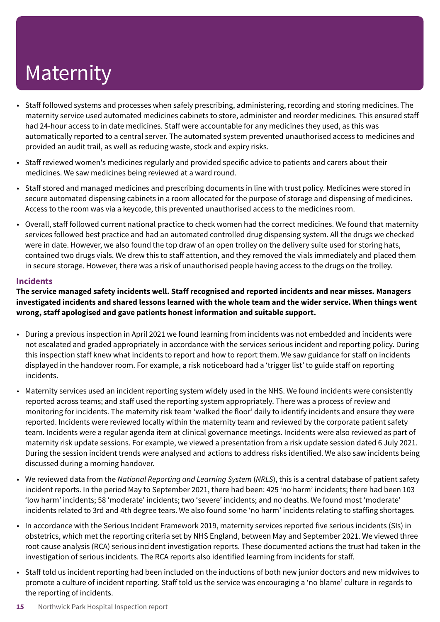- Staff followed systems and processes when safely prescribing, administering, recording and storing medicines. The maternity service used automated medicines cabinets to store, administer and reorder medicines. This ensured staff had 24-hour access to in date medicines. Staff were accountable for any medicines they used, as this was automatically reported to a central server. The automated system prevented unauthorised access to medicines and provided an audit trail, as well as reducing waste, stock and expiry risks.
- Staff reviewed women's medicines regularly and provided specific advice to patients and carers about their medicines. We saw medicines being reviewed at a ward round.
- Staff stored and managed medicines and prescribing documents in line with trust policy. Medicines were stored in secure automated dispensing cabinets in a room allocated for the purpose of storage and dispensing of medicines. Access to the room was via a keycode, this prevented unauthorised access to the medicines room.
- Overall, staff followed current national practice to check women had the correct medicines. We found that maternity services followed best practice and had an automated controlled drug dispensing system. All the drugs we checked were in date. However, we also found the top draw of an open trolley on the delivery suite used for storing hats, contained two drugs vials. We drew this to staff attention, and they removed the vials immediately and placed them in secure storage. However, there was a risk of unauthorised people having access to the drugs on the trolley.

#### **Incidents**

**The service managed safety incidents well. Staff recognised and reported incidents and near misses. Managers** investigated incidents and shared lessons learned with the whole team and the wider service. When things went **wrong, staff apologised and gave patients honest information and suitable support.**

- During a previous inspection in April 2021 we found learning from incidents was not embedded and incidents were not escalated and graded appropriately in accordance with the services serious incident and reporting policy. During this inspection staff knew what incidents to report and how to report them. We saw guidance for staff on incidents displayed in the handover room. For example, a risk noticeboard had a 'trigger list' to guide staff on reporting incidents.
- Maternity services used an incident reporting system widely used in the NHS. We found incidents were consistently reported across teams; and staff used the reporting system appropriately. There was a process of review and monitoring for incidents. The maternity risk team 'walked the floor' daily to identify incidents and ensure they were reported. Incidents were reviewed locally within the maternity team and reviewed by the corporate patient safety team. Incidents were a regular agenda item at clinical governance meetings. Incidents were also reviewed as part of maternity risk update sessions. For example, we viewed a presentation from a risk update session dated 6 July 2021. During the session incident trends were analysed and actions to address risks identified. We also saw incidents being discussed during a morning handover.
- We reviewed data from the *National Reporting and Learning System* (*NRLS*), this is a central database of patient safety incident reports. In the period May to September 2021, there had been: 425 'no harm' incidents; there had been 103 'low harm' incidents; 58 'moderate' incidents; two 'severe' incidents; and no deaths. We found most 'moderate' incidents related to 3rd and 4th degree tears. We also found some 'no harm' incidents relating to staffing shortages.
- In accordance with the Serious Incident Framework 2019, maternity services reported five serious incidents (SIs) in obstetrics, which met the reporting criteria set by NHS England, between May and September 2021. We viewed three root cause analysis (RCA) serious incident investigation reports. These documented actions the trust had taken in the investigation of serious incidents. The RCA reports also identified learning from incidents for staff.
- Staff told us incident reporting had been included on the inductions of both new junior doctors and new midwives to promote a culture of incident reporting. Staff told us the service was encouraging a 'no blame' culture in regards to the reporting of incidents.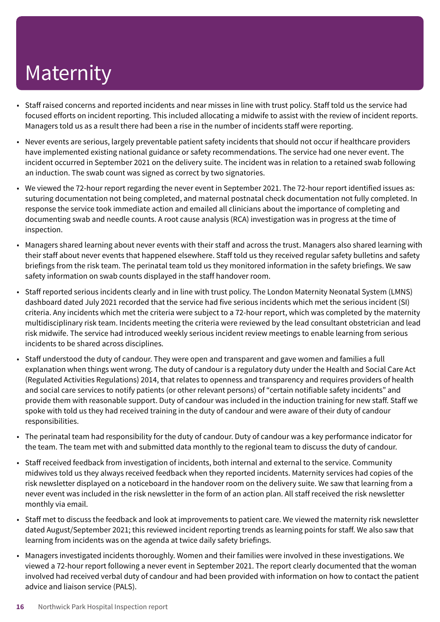- Staff raised concerns and reported incidents and near misses in line with trust policy. Staff told us the service had focused efforts on incident reporting. This included allocating a midwife to assist with the review of incident reports. Managers told us as a result there had been a rise in the number of incidents staff were reporting.
- Never events are serious, largely preventable patient safety incidents that should not occur if healthcare providers have implemented existing national guidance or safety recommendations. The service had one never event. The incident occurred in September 2021 on the delivery suite. The incident was in relation to a retained swab following an induction. The swab count was signed as correct by two signatories.
- We viewed the 72-hour report regarding the never event in September 2021. The 72-hour report identified issues as: suturing documentation not being completed, and maternal postnatal check documentation not fully completed. In response the service took immediate action and emailed all clinicians about the importance of completing and documenting swab and needle counts. A root cause analysis (RCA) investigation was in progress at the time of inspection.
- Managers shared learning about never events with their staff and across the trust. Managers also shared learning with their staff about never events that happened elsewhere. Staff told us they received regular safety bulletins and safety briefings from the risk team. The perinatal team told us they monitored information in the safety briefings. We saw safety information on swab counts displayed in the staff handover room.
- Staff reported serious incidents clearly and in line with trust policy. The London Maternity Neonatal System (LMNS) dashboard dated July 2021 recorded that the service had five serious incidents which met the serious incident (SI) criteria. Any incidents which met the criteria were subject to a 72-hour report, which was completed by the maternity multidisciplinary risk team. Incidents meeting the criteria were reviewed by the lead consultant obstetrician and lead risk midwife. The service had introduced weekly serious incident review meetings to enable learning from serious incidents to be shared across disciplines.
- Staff understood the duty of candour. They were open and transparent and gave women and families a full explanation when things went wrong. The duty of candour is a regulatory duty under the Health and Social Care Act (Regulated Activities Regulations) 2014, that relates to openness and transparency and requires providers of health and social care services to notify patients (or other relevant persons) of "certain notifiable safety incidents" and provide them with reasonable support. Duty of candour was included in the induction training for new staff. Staff we spoke with told us they had received training in the duty of candour and were aware of their duty of candour responsibilities.
- The perinatal team had responsibility for the duty of candour. Duty of candour was a key performance indicator for the team. The team met with and submitted data monthly to the regional team to discuss the duty of candour.
- Staff received feedback from investigation of incidents, both internal and external to the service. Community midwives told us they always received feedback when they reported incidents. Maternity services had copies of the risk newsletter displayed on a noticeboard in the handover room on the delivery suite. We saw that learning from a never event was included in the risk newsletter in the form of an action plan. All staff received the risk newsletter monthly via email.
- Staff met to discuss the feedback and look at improvements to patient care. We viewed the maternity risk newsletter dated August/September 2021; this reviewed incident reporting trends as learning points for staff. We also saw that learning from incidents was on the agenda at twice daily safety briefings.
- Managers investigated incidents thoroughly. Women and their families were involved in these investigations. We viewed a 72-hour report following a never event in September 2021. The report clearly documented that the woman involved had received verbal duty of candour and had been provided with information on how to contact the patient advice and liaison service (PALS).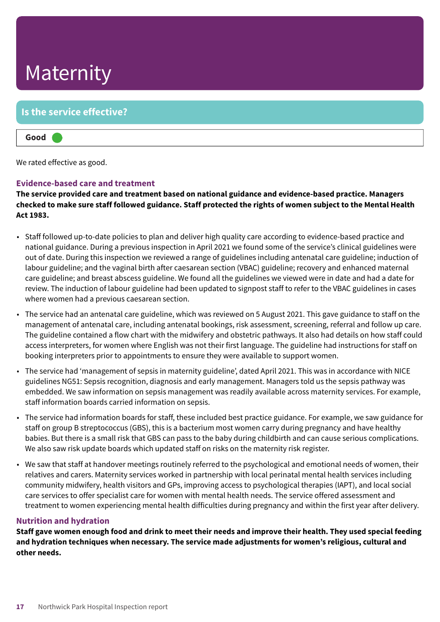#### **Is the service effective?**

#### **Good –––**

We rated effective as good.

#### **Evidence-based care and treatment**

**The service provided care and treatment based on national guidance and evidence-based practice. Managers** checked to make sure staff followed guidance. Staff protected the rights of women subject to the Mental Health **Act 1983.**

- Staff followed up-to-date policies to plan and deliver high quality care according to evidence-based practice and national guidance. During a previous inspection in April 2021 we found some of the service's clinical guidelines were out of date. During this inspection we reviewed a range of guidelines including antenatal care guideline; induction of labour guideline; and the vaginal birth after caesarean section (VBAC) guideline; recovery and enhanced maternal care guideline; and breast abscess guideline. We found all the guidelines we viewed were in date and had a date for review. The induction of labour guideline had been updated to signpost staff to refer to the VBAC guidelines in cases where women had a previous caesarean section.
- The service had an antenatal care guideline, which was reviewed on 5 August 2021. This gave guidance to staff on the management of antenatal care, including antenatal bookings, risk assessment, screening, referral and follow up care. The guideline contained a flow chart with the midwifery and obstetric pathways. It also had details on how staff could access interpreters, for women where English was not their first language. The guideline had instructions for staff on booking interpreters prior to appointments to ensure they were available to support women.
- The service had 'management of sepsis in maternity guideline', dated April 2021. This was in accordance with NICE guidelines NG51: Sepsis recognition, diagnosis and early management. Managers told us the sepsis pathway was embedded. We saw information on sepsis management was readily available across maternity services. For example, staff information boards carried information on sepsis.
- The service had information boards for staff, these included best practice guidance. For example, we saw guidance for staff on group B streptococcus (GBS), this is a bacterium most women carry during pregnancy and have healthy babies. But there is a small risk that GBS can pass to the baby during childbirth and can cause serious complications. We also saw risk update boards which updated staff on risks on the maternity risk register.
- We saw that staff at handover meetings routinely referred to the psychological and emotional needs of women, their relatives and carers. Maternity services worked in partnership with local perinatal mental health services including community midwifery, health visitors and GPs, improving access to psychological therapies (IAPT), and local social care services to offer specialist care for women with mental health needs. The service offered assessment and treatment to women experiencing mental health difficulties during pregnancy and within the first year after delivery.

#### **Nutrition and hydration**

Staff gave women enough food and drink to meet their needs and improve their health. They used special feeding **and hydration techniques when necessary. The service made adjustments for women's religious, cultural and other needs.**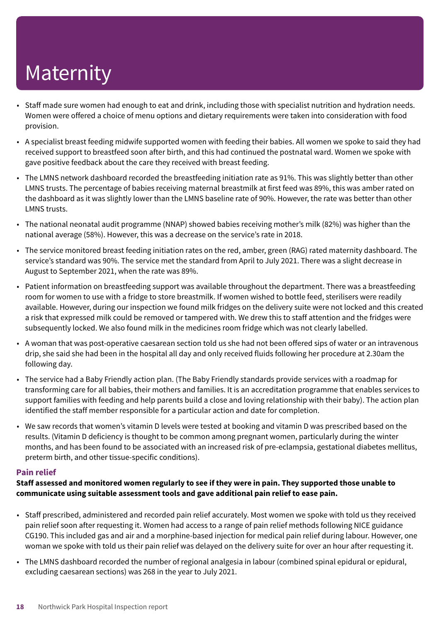- Staff made sure women had enough to eat and drink, including those with specialist nutrition and hydration needs. Women were offered a choice of menu options and dietary requirements were taken into consideration with food provision.
- A specialist breast feeding midwife supported women with feeding their babies. All women we spoke to said they had received support to breastfeed soon after birth, and this had continued the postnatal ward. Women we spoke with gave positive feedback about the care they received with breast feeding.
- The LMNS network dashboard recorded the breastfeeding initiation rate as 91%. This was slightly better than other LMNS trusts. The percentage of babies receiving maternal breastmilk at first feed was 89%, this was amber rated on the dashboard as it was slightly lower than the LMNS baseline rate of 90%. However, the rate was better than other LMNS trusts.
- The national neonatal audit programme (NNAP) showed babies receiving mother's milk (82%) was higher than the national average (58%). However, this was a decrease on the service's rate in 2018.
- The service monitored breast feeding initiation rates on the red, amber, green (RAG) rated maternity dashboard. The service's standard was 90%. The service met the standard from April to July 2021. There was a slight decrease in August to September 2021, when the rate was 89%.
- Patient information on breastfeeding support was available throughout the department. There was a breastfeeding room for women to use with a fridge to store breastmilk. If women wished to bottle feed, sterilisers were readily available. However, during our inspection we found milk fridges on the delivery suite were not locked and this created a risk that expressed milk could be removed or tampered with. We drew this to staff attention and the fridges were subsequently locked. We also found milk in the medicines room fridge which was not clearly labelled.
- A woman that was post-operative caesarean section told us she had not been offered sips of water or an intravenous drip, she said she had been in the hospital all day and only received fluids following her procedure at 2.30am the following day.
- The service had a Baby Friendly action plan. (The Baby Friendly standards provide services with a roadmap for transforming care for all babies, their mothers and families. It is an accreditation programme that enables services to support families with feeding and help parents build a close and loving relationship with their baby). The action plan identified the staff member responsible for a particular action and date for completion.
- We saw records that women's vitamin D levels were tested at booking and vitamin D was prescribed based on the results. (Vitamin D deficiency is thought to be common among pregnant women, particularly during the winter months, and has been found to be associated with an increased risk of pre-eclampsia, gestational diabetes mellitus, preterm birth, and other tissue-specific conditions).

#### **Pain relief**

#### Staff assessed and monitored women regularly to see if they were in pain. They supported those unable to **communicate using suitable assessment tools and gave additional pain relief to ease pain.**

- Staff prescribed, administered and recorded pain relief accurately. Most women we spoke with told us they received pain relief soon after requesting it. Women had access to a range of pain relief methods following NICE guidance CG190. This included gas and air and a morphine-based injection for medical pain relief during labour. However, one woman we spoke with told us their pain relief was delayed on the delivery suite for over an hour after requesting it.
- The LMNS dashboard recorded the number of regional analgesia in labour (combined spinal epidural or epidural, excluding caesarean sections) was 268 in the year to July 2021.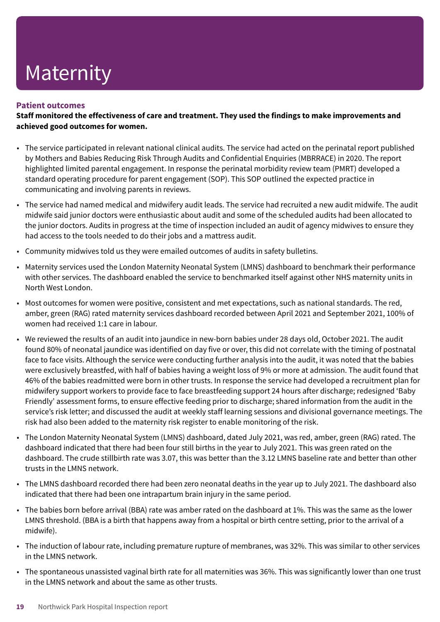#### **Patient outcomes**

**Staff monitored the effectiveness of care and treatment. They used the findings to make improvements and achieved good outcomes for women.**

- The service participated in relevant national clinical audits. The service had acted on the perinatal report published by Mothers and Babies Reducing Risk Through Audits and Confidential Enquiries (MBRRACE) in 2020. The report highlighted limited parental engagement. In response the perinatal morbidity review team (PMRT) developed a standard operating procedure for parent engagement (SOP). This SOP outlined the expected practice in communicating and involving parents in reviews.
- The service had named medical and midwifery audit leads. The service had recruited a new audit midwife. The audit midwife said junior doctors were enthusiastic about audit and some of the scheduled audits had been allocated to the junior doctors. Audits in progress at the time of inspection included an audit of agency midwives to ensure they had access to the tools needed to do their jobs and a mattress audit.
- Community midwives told us they were emailed outcomes of audits in safety bulletins.
- Maternity services used the London Maternity Neonatal System (LMNS) dashboard to benchmark their performance with other services. The dashboard enabled the service to benchmarked itself against other NHS maternity units in North West London.
- Most outcomes for women were positive, consistent and met expectations, such as national standards. The red, amber, green (RAG) rated maternity services dashboard recorded between April 2021 and September 2021, 100% of women had received 1:1 care in labour.
- We reviewed the results of an audit into jaundice in new-born babies under 28 days old, October 2021. The audit found 80% of neonatal jaundice was identified on day five or over, this did not correlate with the timing of postnatal face to face visits. Although the service were conducting further analysis into the audit, it was noted that the babies were exclusively breastfed, with half of babies having a weight loss of 9% or more at admission. The audit found that 46% of the babies readmitted were born in other trusts. In response the service had developed a recruitment plan for midwifery support workers to provide face to face breastfeeding support 24 hours after discharge; redesigned 'Baby Friendly' assessment forms, to ensure effective feeding prior to discharge; shared information from the audit in the service's risk letter; and discussed the audit at weekly staff learning sessions and divisional governance meetings. The risk had also been added to the maternity risk register to enable monitoring of the risk.
- The London Maternity Neonatal System (LMNS) dashboard, dated July 2021, was red, amber, green (RAG) rated. The dashboard indicated that there had been four still births in the year to July 2021. This was green rated on the dashboard. The crude stillbirth rate was 3.07, this was better than the 3.12 LMNS baseline rate and better than other trusts in the LMNS network.
- The LMNS dashboard recorded there had been zero neonatal deaths in the year up to July 2021. The dashboard also indicated that there had been one intrapartum brain injury in the same period.
- The babies born before arrival (BBA) rate was amber rated on the dashboard at 1%. This was the same as the lower LMNS threshold. (BBA is a birth that happens away from a hospital or birth centre setting, prior to the arrival of a midwife).
- The induction of labour rate, including premature rupture of membranes, was 32%. This was similar to other services in the LMNS network.
- The spontaneous unassisted vaginal birth rate for all maternities was 36%. This was significantly lower than one trust in the LMNS network and about the same as other trusts.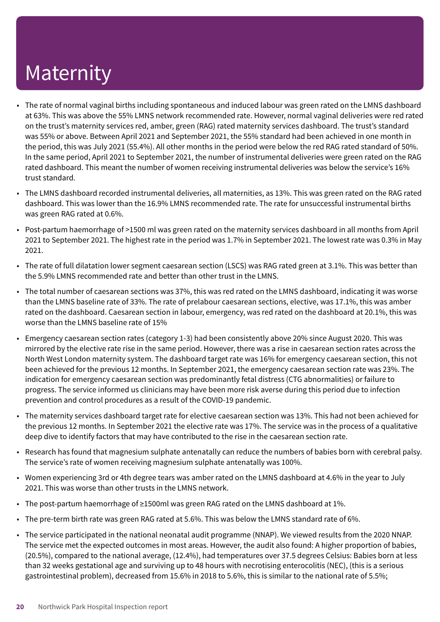- The rate of normal vaginal births including spontaneous and induced labour was green rated on the LMNS dashboard at 63%. This was above the 55% LMNS network recommended rate. However, normal vaginal deliveries were red rated on the trust's maternity services red, amber, green (RAG) rated maternity services dashboard. The trust's standard was 55% or above. Between April 2021 and September 2021, the 55% standard had been achieved in one month in the period, this was July 2021 (55.4%). All other months in the period were below the red RAG rated standard of 50%. In the same period, April 2021 to September 2021, the number of instrumental deliveries were green rated on the RAG rated dashboard. This meant the number of women receiving instrumental deliveries was below the service's 16% trust standard.
- The LMNS dashboard recorded instrumental deliveries, all maternities, as 13%. This was green rated on the RAG rated dashboard. This was lower than the 16.9% LMNS recommended rate. The rate for unsuccessful instrumental births was green RAG rated at 0.6%.
- Post-partum haemorrhage of >1500 ml was green rated on the maternity services dashboard in all months from April 2021 to September 2021. The highest rate in the period was 1.7% in September 2021. The lowest rate was 0.3% in May 2021.
- The rate of full dilatation lower segment caesarean section (LSCS) was RAG rated green at 3.1%. This was better than the 5.9% LMNS recommended rate and better than other trust in the LMNS.
- The total number of caesarean sections was 37%, this was red rated on the LMNS dashboard, indicating it was worse than the LMNS baseline rate of 33%. The rate of prelabour caesarean sections, elective, was 17.1%, this was amber rated on the dashboard. Caesarean section in labour, emergency, was red rated on the dashboard at 20.1%, this was worse than the LMNS baseline rate of 15%
- Emergency caesarean section rates (category 1-3) had been consistently above 20% since August 2020. This was mirrored by the elective rate rise in the same period. However, there was a rise in caesarean section rates across the North West London maternity system. The dashboard target rate was 16% for emergency caesarean section, this not been achieved for the previous 12 months. In September 2021, the emergency caesarean section rate was 23%. The indication for emergency caesarean section was predominantly fetal distress (CTG abnormalities) or failure to progress. The service informed us clinicians may have been more risk averse during this period due to infection prevention and control procedures as a result of the COVID-19 pandemic.
- The maternity services dashboard target rate for elective caesarean section was 13%. This had not been achieved for the previous 12 months. In September 2021 the elective rate was 17%. The service was in the process of a qualitative deep dive to identify factors that may have contributed to the rise in the caesarean section rate.
- Research has found that magnesium sulphate antenatally can reduce the numbers of babies born with cerebral palsy. The service's rate of women receiving magnesium sulphate antenatally was 100%.
- Women experiencing 3rd or 4th degree tears was amber rated on the LMNS dashboard at 4.6% in the year to July 2021. This was worse than other trusts in the LMNS network.
- The post-partum haemorrhage of ≥1500ml was green RAG rated on the LMNS dashboard at 1%.
- The pre-term birth rate was green RAG rated at 5.6%. This was below the LMNS standard rate of 6%.
- The service participated in the national neonatal audit programme (NNAP). We viewed results from the 2020 NNAP. The service met the expected outcomes in most areas. However, the audit also found: A higher proportion of babies, (20.5%), compared to the national average, (12.4%), had temperatures over 37.5 degrees Celsius: Babies born at less than 32 weeks gestational age and surviving up to 48 hours with necrotising enterocolitis (NEC), (this is a serious gastrointestinal problem), decreased from 15.6% in 2018 to 5.6%, this is similar to the national rate of 5.5%;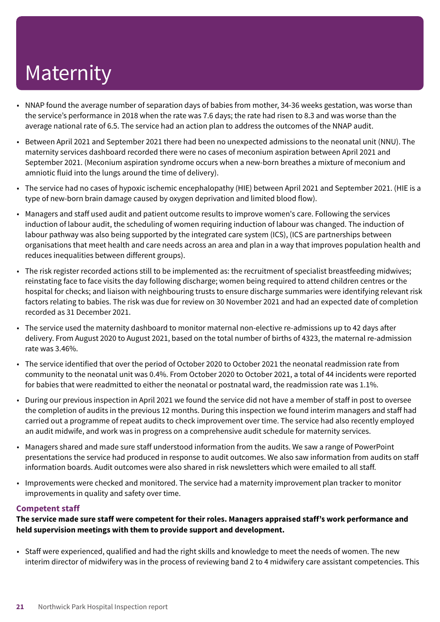- NNAP found the average number of separation days of babies from mother, 34-36 weeks gestation, was worse than the service's performance in 2018 when the rate was 7.6 days; the rate had risen to 8.3 and was worse than the average national rate of 6.5. The service had an action plan to address the outcomes of the NNAP audit.
- Between April 2021 and September 2021 there had been no unexpected admissions to the neonatal unit (NNU). The maternity services dashboard recorded there were no cases of meconium aspiration between April 2021 and September 2021. (Meconium aspiration syndrome occurs when a new-born breathes a mixture of meconium and amniotic fluid into the lungs around the time of delivery).
- The service had no cases of hypoxic ischemic encephalopathy (HIE) between April 2021 and September 2021. (HIE is a type of new-born brain damage caused by oxygen deprivation and limited blood flow).
- Managers and staff used audit and patient outcome results to improve women's care. Following the services induction of labour audit, the scheduling of women requiring induction of labour was changed. The induction of labour pathway was also being supported by the integrated care system (ICS), (ICS are partnerships between organisations that meet health and care needs across an area and plan in a way that improves population health and reduces inequalities between different groups).
- The risk register recorded actions still to be implemented as: the recruitment of specialist breastfeeding midwives; reinstating face to face visits the day following discharge; women being required to attend children centres or the hospital for checks; and liaison with neighbouring trusts to ensure discharge summaries were identifying relevant risk factors relating to babies. The risk was due for review on 30 November 2021 and had an expected date of completion recorded as 31 December 2021.
- The service used the maternity dashboard to monitor maternal non-elective re-admissions up to 42 days after delivery. From August 2020 to August 2021, based on the total number of births of 4323, the maternal re-admission rate was 3.46%.
- The service identified that over the period of October 2020 to October 2021 the neonatal readmission rate from community to the neonatal unit was 0.4%. From October 2020 to October 2021, a total of 44 incidents were reported for babies that were readmitted to either the neonatal or postnatal ward, the readmission rate was 1.1%.
- During our previous inspection in April 2021 we found the service did not have a member of staff in post to oversee the completion of audits in the previous 12 months. During this inspection we found interim managers and staff had carried out a programme of repeat audits to check improvement over time. The service had also recently employed an audit midwife, and work was in progress on a comprehensive audit schedule for maternity services.
- Managers shared and made sure staff understood information from the audits. We saw a range of PowerPoint presentations the service had produced in response to audit outcomes. We also saw information from audits on staff information boards. Audit outcomes were also shared in risk newsletters which were emailed to all staff.
- Improvements were checked and monitored. The service had a maternity improvement plan tracker to monitor improvements in quality and safety over time.

#### **Competent staff**

**The service made sure staff were competent for their roles. Managers appraised staff's work performance and held supervision meetings with them to provide support and development.**

• Staff were experienced, qualified and had the right skills and knowledge to meet the needs of women. The new interim director of midwifery was in the process of reviewing band 2 to 4 midwifery care assistant competencies. This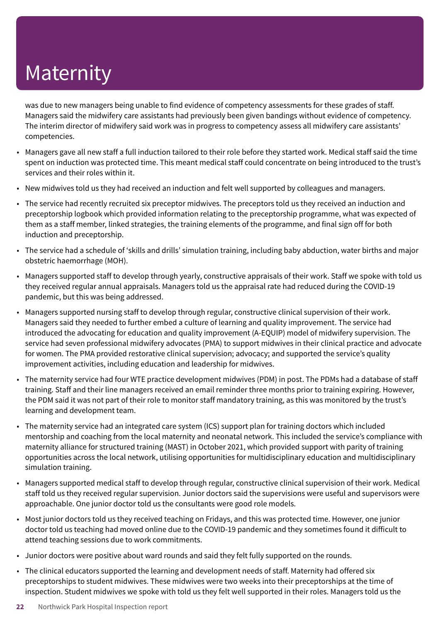was due to new managers being unable to find evidence of competency assessments for these grades of staff. Managers said the midwifery care assistants had previously been given bandings without evidence of competency. The interim director of midwifery said work was in progress to competency assess all midwifery care assistants' competencies.

- Managers gave all new staff a full induction tailored to their role before they started work. Medical staff said the time spent on induction was protected time. This meant medical staff could concentrate on being introduced to the trust's services and their roles within it.
- New midwives told us they had received an induction and felt well supported by colleagues and managers.
- The service had recently recruited six preceptor midwives. The preceptors told us they received an induction and preceptorship logbook which provided information relating to the preceptorship programme, what was expected of them as a staff member, linked strategies, the training elements of the programme, and final sign off for both induction and preceptorship.
- The service had a schedule of 'skills and drills' simulation training, including baby abduction, water births and major obstetric haemorrhage (MOH).
- Managers supported staff to develop through yearly, constructive appraisals of their work. Staff we spoke with told us they received regular annual appraisals. Managers told us the appraisal rate had reduced during the COVID-19 pandemic, but this was being addressed.
- Managers supported nursing staff to develop through regular, constructive clinical supervision of their work. Managers said they needed to further embed a culture of learning and quality improvement. The service had introduced the advocating for education and quality improvement (A-EQUIP) model of midwifery supervision. The service had seven professional midwifery advocates (PMA) to support midwives in their clinical practice and advocate for women. The PMA provided restorative clinical supervision; advocacy; and supported the service's quality improvement activities, including education and leadership for midwives.
- The maternity service had four WTE practice development midwives (PDM) in post. The PDMs had a database of staff training. Staff and their line managers received an email reminder three months prior to training expiring. However, the PDM said it was not part of their role to monitor staff mandatory training, as this was monitored by the trust's learning and development team.
- The maternity service had an integrated care system (ICS) support plan for training doctors which included mentorship and coaching from the local maternity and neonatal network. This included the service's compliance with maternity alliance for structured training (MAST) in October 2021, which provided support with parity of training opportunities across the local network, utilising opportunities for multidisciplinary education and multidisciplinary simulation training.
- Managers supported medical staff to develop through regular, constructive clinical supervision of their work. Medical staff told us they received regular supervision. Junior doctors said the supervisions were useful and supervisors were approachable. One junior doctor told us the consultants were good role models.
- Most junior doctors told us they received teaching on Fridays, and this was protected time. However, one junior doctor told us teaching had moved online due to the COVID-19 pandemic and they sometimes found it difficult to attend teaching sessions due to work commitments.
- Junior doctors were positive about ward rounds and said they felt fully supported on the rounds.
- The clinical educators supported the learning and development needs of staff. Maternity had offered six preceptorships to student midwives. These midwives were two weeks into their preceptorships at the time of inspection. Student midwives we spoke with told us they felt well supported in their roles. Managers told us the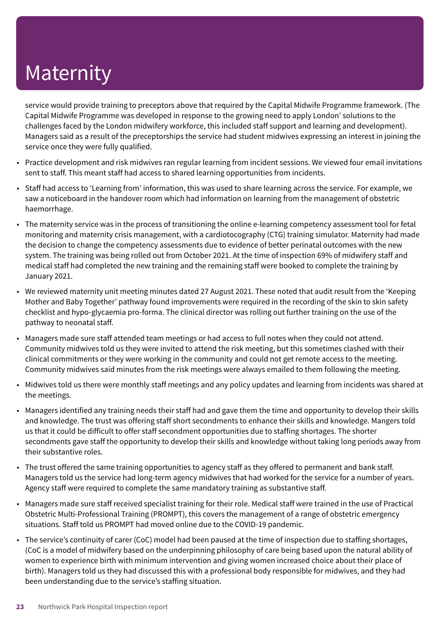service would provide training to preceptors above that required by the Capital Midwife Programme framework. (The Capital Midwife Programme was developed in response to the growing need to apply London' solutions to the challenges faced by the London midwifery workforce, this included staff support and learning and development). Managers said as a result of the preceptorships the service had student midwives expressing an interest in joining the service once they were fully qualified.

- Practice development and risk midwives ran regular learning from incident sessions. We viewed four email invitations sent to staff. This meant staff had access to shared learning opportunities from incidents.
- Staff had access to 'Learning from' information, this was used to share learning across the service. For example, we saw a noticeboard in the handover room which had information on learning from the management of obstetric haemorrhage.
- The maternity service was in the process of transitioning the online e-learning competency assessment tool for fetal monitoring and maternity crisis management, with a cardiotocography (CTG) training simulator. Maternity had made the decision to change the competency assessments due to evidence of better perinatal outcomes with the new system. The training was being rolled out from October 2021. At the time of inspection 69% of midwifery staff and medical staff had completed the new training and the remaining staff were booked to complete the training by January 2021.
- We reviewed maternity unit meeting minutes dated 27 August 2021. These noted that audit result from the 'Keeping Mother and Baby Together' pathway found improvements were required in the recording of the skin to skin safety checklist and hypo-glycaemia pro-forma. The clinical director was rolling out further training on the use of the pathway to neonatal staff.
- Managers made sure staff attended team meetings or had access to full notes when they could not attend. Community midwives told us they were invited to attend the risk meeting, but this sometimes clashed with their clinical commitments or they were working in the community and could not get remote access to the meeting. Community midwives said minutes from the risk meetings were always emailed to them following the meeting.
- Midwives told us there were monthly staff meetings and any policy updates and learning from incidents was shared at the meetings.
- Managers identified any training needs their staff had and gave them the time and opportunity to develop their skills and knowledge. The trust was offering staff short secondments to enhance their skills and knowledge. Mangers told us that it could be difficult to offer staff secondment opportunities due to staffing shortages. The shorter secondments gave staff the opportunity to develop their skills and knowledge without taking long periods away from their substantive roles.
- The trust offered the same training opportunities to agency staff as they offered to permanent and bank staff. Managers told us the service had long-term agency midwives that had worked for the service for a number of years. Agency staff were required to complete the same mandatory training as substantive staff.
- Managers made sure staff received specialist training for their role. Medical staff were trained in the use of Practical Obstetric Multi-Professional Training (PROMPT), this covers the management of a range of obstetric emergency situations. Staff told us PROMPT had moved online due to the COVID-19 pandemic.
- The service's continuity of carer (CoC) model had been paused at the time of inspection due to staffing shortages, (CoC is a model of midwifery based on the underpinning philosophy of care being based upon the natural ability of women to experience birth with minimum intervention and giving women increased choice about their place of birth). Managers told us they had discussed this with a professional body responsible for midwives, and they had been understanding due to the service's staffing situation.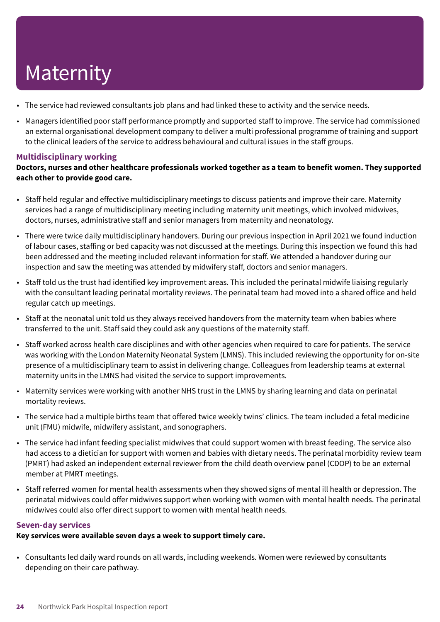- The service had reviewed consultants job plans and had linked these to activity and the service needs.
- Managers identified poor staff performance promptly and supported staff to improve. The service had commissioned an external organisational development company to deliver a multi professional programme of training and support to the clinical leaders of the service to address behavioural and cultural issues in the staff groups.

#### **Multidisciplinary working**

**Doctors, nurses and other healthcare professionals worked together as a team to benefit women. They supported each other to provide good care.**

- Staff held regular and effective multidisciplinary meetings to discuss patients and improve their care. Maternity services had a range of multidisciplinary meeting including maternity unit meetings, which involved midwives, doctors, nurses, administrative staff and senior managers from maternity and neonatology.
- There were twice daily multidisciplinary handovers. During our previous inspection in April 2021 we found induction of labour cases, staffing or bed capacity was not discussed at the meetings. During this inspection we found this had been addressed and the meeting included relevant information for staff. We attended a handover during our inspection and saw the meeting was attended by midwifery staff, doctors and senior managers.
- Staff told us the trust had identified key improvement areas. This included the perinatal midwife liaising regularly with the consultant leading perinatal mortality reviews. The perinatal team had moved into a shared office and held regular catch up meetings.
- Staff at the neonatal unit told us they always received handovers from the maternity team when babies where transferred to the unit. Staff said they could ask any questions of the maternity staff.
- Staff worked across health care disciplines and with other agencies when required to care for patients. The service was working with the London Maternity Neonatal System (LMNS). This included reviewing the opportunity for on-site presence of a multidisciplinary team to assist in delivering change. Colleagues from leadership teams at external maternity units in the LMNS had visited the service to support improvements.
- Maternity services were working with another NHS trust in the LMNS by sharing learning and data on perinatal mortality reviews.
- The service had a multiple births team that offered twice weekly twins' clinics. The team included a fetal medicine unit (FMU) midwife, midwifery assistant, and sonographers.
- The service had infant feeding specialist midwives that could support women with breast feeding. The service also had access to a dietician for support with women and babies with dietary needs. The perinatal morbidity review team (PMRT) had asked an independent external reviewer from the child death overview panel (CDOP) to be an external member at PMRT meetings.
- Staff referred women for mental health assessments when they showed signs of mental ill health or depression. The perinatal midwives could offer midwives support when working with women with mental health needs. The perinatal midwives could also offer direct support to women with mental health needs.

#### **Seven-day services**

#### **Key services were available seven days a week to support timely care.**

• Consultants led daily ward rounds on all wards, including weekends. Women were reviewed by consultants depending on their care pathway.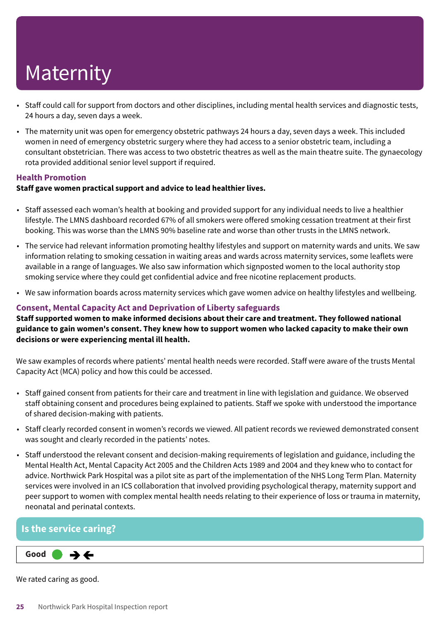- Staff could call for support from doctors and other disciplines, including mental health services and diagnostic tests, 24 hours a day, seven days a week.
- The maternity unit was open for emergency obstetric pathways 24 hours a day, seven days a week. This included women in need of emergency obstetric surgery where they had access to a senior obstetric team, including a consultant obstetrician. There was access to two obstetric theatres as well as the main theatre suite. The gynaecology rota provided additional senior level support if required.

#### **Health Promotion**

#### **Staff gave women practical support and advice to lead healthier lives.**

- Staff assessed each woman's health at booking and provided support for any individual needs to live a healthier lifestyle. The LMNS dashboard recorded 67% of all smokers were offered smoking cessation treatment at their first booking. This was worse than the LMNS 90% baseline rate and worse than other trusts in the LMNS network.
- The service had relevant information promoting healthy lifestyles and support on maternity wards and units. We saw information relating to smoking cessation in waiting areas and wards across maternity services, some leaflets were available in a range of languages. We also saw information which signposted women to the local authority stop smoking service where they could get confidential advice and free nicotine replacement products.
- We saw information boards across maternity services which gave women advice on healthy lifestyles and wellbeing.

#### **Consent, Mental Capacity Act and Deprivation of Liberty safeguards**

**Staff supported women to make informed decisions about their care and treatment. They followed national** guidance to gain women's consent. They knew how to support women who lacked capacity to make their own **decisions or were experiencing mental ill health.**

We saw examples of records where patients' mental health needs were recorded. Staff were aware of the trusts Mental Capacity Act (MCA) policy and how this could be accessed.

- Staff gained consent from patients for their care and treatment in line with legislation and guidance. We observed staff obtaining consent and procedures being explained to patients. Staff we spoke with understood the importance of shared decision-making with patients.
- Staff clearly recorded consent in women's records we viewed. All patient records we reviewed demonstrated consent was sought and clearly recorded in the patients' notes.
- Staff understood the relevant consent and decision-making requirements of legislation and guidance, including the Mental Health Act, Mental Capacity Act 2005 and the Children Acts 1989 and 2004 and they knew who to contact for advice. Northwick Park Hospital was a pilot site as part of the implementation of the NHS Long Term Plan. Maternity services were involved in an ICS collaboration that involved providing psychological therapy, maternity support and peer support to women with complex mental health needs relating to their experience of loss or trauma in maternity, neonatal and perinatal contexts.

#### **Is the service caring?**

#### **Good –––**  $\rightarrow$   $\leftarrow$

We rated caring as good.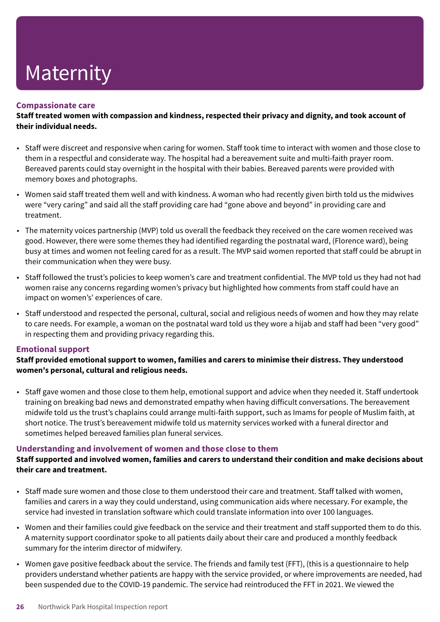#### **Compassionate care**

**Staff treated women with compassion and kindness, respected their privacy and dignity, and took account of their individual needs.**

- Staff were discreet and responsive when caring for women. Staff took time to interact with women and those close to them in a respectful and considerate way. The hospital had a bereavement suite and multi-faith prayer room. Bereaved parents could stay overnight in the hospital with their babies. Bereaved parents were provided with memory boxes and photographs.
- Women said staff treated them well and with kindness. A woman who had recently given birth told us the midwives were "very caring" and said all the staff providing care had "gone above and beyond" in providing care and treatment.
- The maternity voices partnership (MVP) told us overall the feedback they received on the care women received was good. However, there were some themes they had identified regarding the postnatal ward, (Florence ward), being busy at times and women not feeling cared for as a result. The MVP said women reported that staff could be abrupt in their communication when they were busy.
- Staff followed the trust's policies to keep women's care and treatment confidential. The MVP told us they had not had women raise any concerns regarding women's privacy but highlighted how comments from staff could have an impact on women's' experiences of care.
- Staff understood and respected the personal, cultural, social and religious needs of women and how they may relate to care needs. For example, a woman on the postnatal ward told us they wore a hijab and staff had been "very good" in respecting them and providing privacy regarding this.

#### **Emotional support**

**Staff provided emotional support to women, families and carers to minimise their distress. They understood women's personal, cultural and religious needs.**

• Staff gave women and those close to them help, emotional support and advice when they needed it. Staff undertook training on breaking bad news and demonstrated empathy when having difficult conversations. The bereavement midwife told us the trust's chaplains could arrange multi-faith support, such as Imams for people of Muslim faith, at short notice. The trust's bereavement midwife told us maternity services worked with a funeral director and sometimes helped bereaved families plan funeral services.

#### **Understanding and involvement of women and those close to them**

#### **Staff supported and involved women, families and carers to understand their condition and make decisions about their care and treatment.**

- Staff made sure women and those close to them understood their care and treatment. Staff talked with women, families and carers in a way they could understand, using communication aids where necessary. For example, the service had invested in translation software which could translate information into over 100 languages.
- Women and their families could give feedback on the service and their treatment and staff supported them to do this. A maternity support coordinator spoke to all patients daily about their care and produced a monthly feedback summary for the interim director of midwifery.
- Women gave positive feedback about the service. The friends and family test (FFT), (this is a questionnaire to help providers understand whether patients are happy with the service provided, or where improvements are needed, had been suspended due to the COVID-19 pandemic. The service had reintroduced the FFT in 2021. We viewed the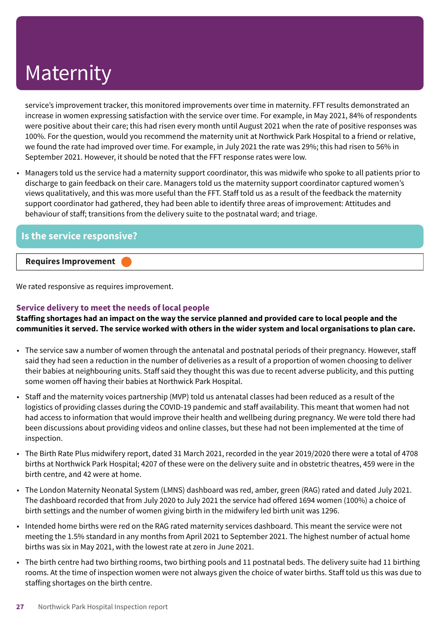service's improvement tracker, this monitored improvements over time in maternity. FFT results demonstrated an increase in women expressing satisfaction with the service over time. For example, in May 2021, 84% of respondents were positive about their care; this had risen every month until August 2021 when the rate of positive responses was 100%. For the question, would you recommend the maternity unit at Northwick Park Hospital to a friend or relative, we found the rate had improved over time. For example, in July 2021 the rate was 29%; this had risen to 56% in September 2021. However, it should be noted that the FFT response rates were low.

• Managers told us the service had a maternity support coordinator, this was midwife who spoke to all patients prior to discharge to gain feedback on their care. Managers told us the maternity support coordinator captured women's views qualitatively, and this was more useful than the FFT. Staff told us as a result of the feedback the maternity support coordinator had gathered, they had been able to identify three areas of improvement: Attitudes and behaviour of staff; transitions from the delivery suite to the postnatal ward; and triage.

#### **Is the service responsive?**

#### **Requires Improvement –––**

We rated responsive as requires improvement.

#### **Service delivery to meet the needs of local people**

Staffing shortages had an impact on the way the service planned and provided care to local people and the communities it served. The service worked with others in the wider system and local organisations to plan care.

- The service saw a number of women through the antenatal and postnatal periods of their pregnancy. However, staff said they had seen a reduction in the number of deliveries as a result of a proportion of women choosing to deliver their babies at neighbouring units. Staff said they thought this was due to recent adverse publicity, and this putting some women off having their babies at Northwick Park Hospital.
- Staff and the maternity voices partnership (MVP) told us antenatal classes had been reduced as a result of the logistics of providing classes during the COVID-19 pandemic and staff availability. This meant that women had not had access to information that would improve their health and wellbeing during pregnancy. We were told there had been discussions about providing videos and online classes, but these had not been implemented at the time of inspection.
- The Birth Rate Plus midwifery report, dated 31 March 2021, recorded in the year 2019/2020 there were a total of 4708 births at Northwick Park Hospital; 4207 of these were on the delivery suite and in obstetric theatres, 459 were in the birth centre, and 42 were at home.
- The London Maternity Neonatal System (LMNS) dashboard was red, amber, green (RAG) rated and dated July 2021. The dashboard recorded that from July 2020 to July 2021 the service had offered 1694 women (100%) a choice of birth settings and the number of women giving birth in the midwifery led birth unit was 1296.
- Intended home births were red on the RAG rated maternity services dashboard. This meant the service were not meeting the 1.5% standard in any months from April 2021 to September 2021. The highest number of actual home births was six in May 2021, with the lowest rate at zero in June 2021.
- The birth centre had two birthing rooms, two birthing pools and 11 postnatal beds. The delivery suite had 11 birthing rooms. At the time of inspection women were not always given the choice of water births. Staff told us this was due to staffing shortages on the birth centre.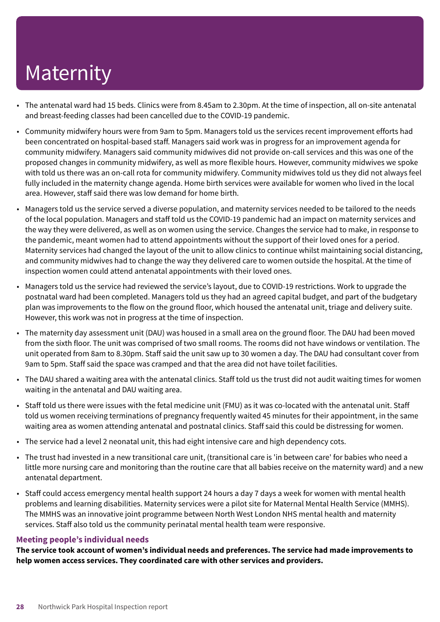- The antenatal ward had 15 beds. Clinics were from 8.45am to 2.30pm. At the time of inspection, all on-site antenatal and breast-feeding classes had been cancelled due to the COVID-19 pandemic.
- Community midwifery hours were from 9am to 5pm. Managers told us the services recent improvement efforts had been concentrated on hospital-based staff. Managers said work was in progress for an improvement agenda for community midwifery. Managers said community midwives did not provide on-call services and this was one of the proposed changes in community midwifery, as well as more flexible hours. However, community midwives we spoke with told us there was an on-call rota for community midwifery. Community midwives told us they did not always feel fully included in the maternity change agenda. Home birth services were available for women who lived in the local area. However, staff said there was low demand for home birth.
- Managers told us the service served a diverse population, and maternity services needed to be tailored to the needs of the local population. Managers and staff told us the COVID-19 pandemic had an impact on maternity services and the way they were delivered, as well as on women using the service. Changes the service had to make, in response to the pandemic, meant women had to attend appointments without the support of their loved ones for a period. Maternity services had changed the layout of the unit to allow clinics to continue whilst maintaining social distancing, and community midwives had to change the way they delivered care to women outside the hospital. At the time of inspection women could attend antenatal appointments with their loved ones.
- Managers told us the service had reviewed the service's layout, due to COVID-19 restrictions. Work to upgrade the postnatal ward had been completed. Managers told us they had an agreed capital budget, and part of the budgetary plan was improvements to the flow on the ground floor, which housed the antenatal unit, triage and delivery suite. However, this work was not in progress at the time of inspection.
- The maternity day assessment unit (DAU) was housed in a small area on the ground floor. The DAU had been moved from the sixth floor. The unit was comprised of two small rooms. The rooms did not have windows or ventilation. The unit operated from 8am to 8.30pm. Staff said the unit saw up to 30 women a day. The DAU had consultant cover from 9am to 5pm. Staff said the space was cramped and that the area did not have toilet facilities.
- The DAU shared a waiting area with the antenatal clinics. Staff told us the trust did not audit waiting times for women waiting in the antenatal and DAU waiting area.
- Staff told us there were issues with the fetal medicine unit (FMU) as it was co-located with the antenatal unit. Staff told us women receiving terminations of pregnancy frequently waited 45 minutes for their appointment, in the same waiting area as women attending antenatal and postnatal clinics. Staff said this could be distressing for women.
- The service had a level 2 neonatal unit, this had eight intensive care and high dependency cots.
- The trust had invested in a new transitional care unit, (transitional care is 'in between care' for babies who need a little more nursing care and monitoring than the routine care that all babies receive on the maternity ward) and a new antenatal department.
- Staff could access emergency mental health support 24 hours a day 7 days a week for women with mental health problems and learning disabilities. Maternity services were a pilot site for Maternal Mental Health Service (MMHS). The MMHS was an innovative joint programme between North West London NHS mental health and maternity services. Staff also told us the community perinatal mental health team were responsive.

#### **Meeting people's individual needs**

**The service took account of women's individual needs and preferences. The service had made improvements to help women access services. They coordinated care with other services and providers.**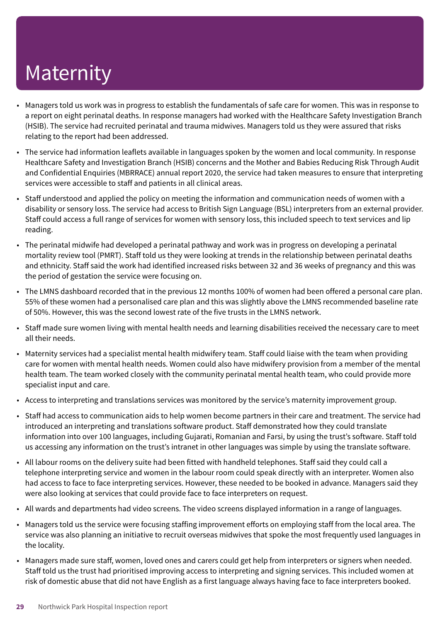- Managers told us work was in progress to establish the fundamentals of safe care for women. This was in response to a report on eight perinatal deaths. In response managers had worked with the Healthcare Safety Investigation Branch (HSIB). The service had recruited perinatal and trauma midwives. Managers told us they were assured that risks relating to the report had been addressed.
- The service had information leaflets available in languages spoken by the women and local community. In response Healthcare Safety and Investigation Branch (HSIB) concerns and the Mother and Babies Reducing Risk Through Audit and Confidential Enquiries (MBRRACE) annual report 2020, the service had taken measures to ensure that interpreting services were accessible to staff and patients in all clinical areas.
- Staff understood and applied the policy on meeting the information and communication needs of women with a disability or sensory loss. The service had access to British Sign Language (BSL) interpreters from an external provider. Staff could access a full range of services for women with sensory loss, this included speech to text services and lip reading.
- The perinatal midwife had developed a perinatal pathway and work was in progress on developing a perinatal mortality review tool (PMRT). Staff told us they were looking at trends in the relationship between perinatal deaths and ethnicity. Staff said the work had identified increased risks between 32 and 36 weeks of pregnancy and this was the period of gestation the service were focusing on.
- The LMNS dashboard recorded that in the previous 12 months 100% of women had been offered a personal care plan. 55% of these women had a personalised care plan and this was slightly above the LMNS recommended baseline rate of 50%. However, this was the second lowest rate of the five trusts in the LMNS network.
- Staff made sure women living with mental health needs and learning disabilities received the necessary care to meet all their needs.
- Maternity services had a specialist mental health midwifery team. Staff could liaise with the team when providing care for women with mental health needs. Women could also have midwifery provision from a member of the mental health team. The team worked closely with the community perinatal mental health team, who could provide more specialist input and care.
- Access to interpreting and translations services was monitored by the service's maternity improvement group.
- Staff had access to communication aids to help women become partners in their care and treatment. The service had introduced an interpreting and translations software product. Staff demonstrated how they could translate information into over 100 languages, including Gujarati, Romanian and Farsi, by using the trust's software. Staff told us accessing any information on the trust's intranet in other languages was simple by using the translate software.
- All labour rooms on the delivery suite had been fitted with handheld telephones. Staff said they could call a telephone interpreting service and women in the labour room could speak directly with an interpreter. Women also had access to face to face interpreting services. However, these needed to be booked in advance. Managers said they were also looking at services that could provide face to face interpreters on request.
- All wards and departments had video screens. The video screens displayed information in a range of languages.
- Managers told us the service were focusing staffing improvement efforts on employing staff from the local area. The service was also planning an initiative to recruit overseas midwives that spoke the most frequently used languages in the locality.
- Managers made sure staff, women, loved ones and carers could get help from interpreters or signers when needed. Staff told us the trust had prioritised improving access to interpreting and signing services. This included women at risk of domestic abuse that did not have English as a first language always having face to face interpreters booked.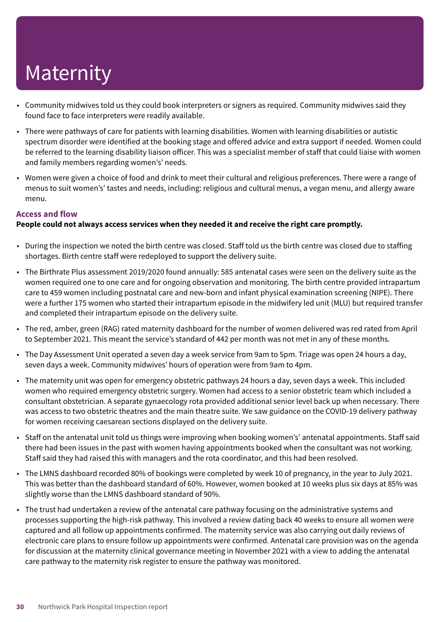- Community midwives told us they could book interpreters or signers as required. Community midwives said they found face to face interpreters were readily available.
- There were pathways of care for patients with learning disabilities. Women with learning disabilities or autistic spectrum disorder were identified at the booking stage and offered advice and extra support if needed. Women could be referred to the learning disability liaison officer. This was a specialist member of staff that could liaise with women and family members regarding women's' needs.
- Women were given a choice of food and drink to meet their cultural and religious preferences. There were a range of menus to suit women's' tastes and needs, including: religious and cultural menus, a vegan menu, and allergy aware menu.

#### **Access and flow**

#### **People could not always access services when they needed it and receive the right care promptly.**

- During the inspection we noted the birth centre was closed. Staff told us the birth centre was closed due to staffing shortages. Birth centre staff were redeployed to support the delivery suite.
- The Birthrate Plus assessment 2019/2020 found annually: 585 antenatal cases were seen on the delivery suite as the women required one to one care and for ongoing observation and monitoring. The birth centre provided intrapartum care to 459 women including postnatal care and new-born and infant physical examination screening (NIPE). There were a further 175 women who started their intrapartum episode in the midwifery led unit (MLU) but required transfer and completed their intrapartum episode on the delivery suite.
- The red, amber, green (RAG) rated maternity dashboard for the number of women delivered was red rated from April to September 2021. This meant the service's standard of 442 per month was not met in any of these months.
- The Day Assessment Unit operated a seven day a week service from 9am to 5pm. Triage was open 24 hours a day, seven days a week. Community midwives' hours of operation were from 9am to 4pm.
- The maternity unit was open for emergency obstetric pathways 24 hours a day, seven days a week. This included women who required emergency obstetric surgery. Women had access to a senior obstetric team which included a consultant obstetrician. A separate gynaecology rota provided additional senior level back up when necessary. There was access to two obstetric theatres and the main theatre suite. We saw guidance on the COVID-19 delivery pathway for women receiving caesarean sections displayed on the delivery suite.
- Staff on the antenatal unit told us things were improving when booking women's' antenatal appointments. Staff said there had been issues in the past with women having appointments booked when the consultant was not working. Staff said they had raised this with managers and the rota coordinator, and this had been resolved.
- The LMNS dashboard recorded 80% of bookings were completed by week 10 of pregnancy, in the year to July 2021. This was better than the dashboard standard of 60%. However, women booked at 10 weeks plus six days at 85% was slightly worse than the LMNS dashboard standard of 90%.
- The trust had undertaken a review of the antenatal care pathway focusing on the administrative systems and processes supporting the high-risk pathway. This involved a review dating back 40 weeks to ensure all women were captured and all follow up appointments confirmed. The maternity service was also carrying out daily reviews of electronic care plans to ensure follow up appointments were confirmed. Antenatal care provision was on the agenda for discussion at the maternity clinical governance meeting in November 2021 with a view to adding the antenatal care pathway to the maternity risk register to ensure the pathway was monitored.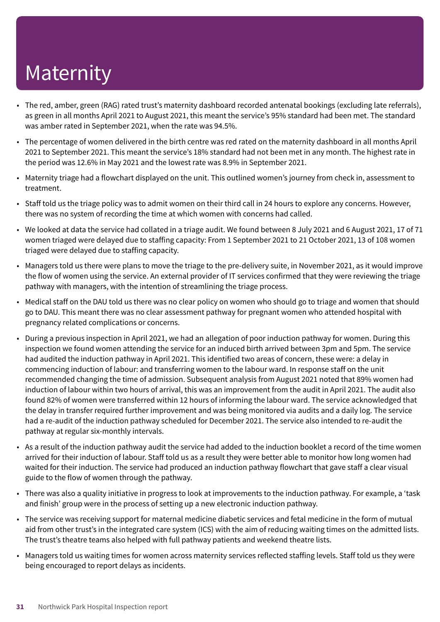- The red, amber, green (RAG) rated trust's maternity dashboard recorded antenatal bookings (excluding late referrals), as green in all months April 2021 to August 2021, this meant the service's 95% standard had been met. The standard was amber rated in September 2021, when the rate was 94.5%.
- The percentage of women delivered in the birth centre was red rated on the maternity dashboard in all months April 2021 to September 2021. This meant the service's 18% standard had not been met in any month. The highest rate in the period was 12.6% in May 2021 and the lowest rate was 8.9% in September 2021.
- Maternity triage had a flowchart displayed on the unit. This outlined women's journey from check in, assessment to treatment.
- Staff told us the triage policy was to admit women on their third call in 24 hours to explore any concerns. However, there was no system of recording the time at which women with concerns had called.
- We looked at data the service had collated in a triage audit. We found between 8 July 2021 and 6 August 2021, 17 of 71 women triaged were delayed due to staffing capacity: From 1 September 2021 to 21 October 2021, 13 of 108 women triaged were delayed due to staffing capacity.
- Managers told us there were plans to move the triage to the pre-delivery suite, in November 2021, as it would improve the flow of women using the service. An external provider of IT services confirmed that they were reviewing the triage pathway with managers, with the intention of streamlining the triage process.
- Medical staff on the DAU told us there was no clear policy on women who should go to triage and women that should go to DAU. This meant there was no clear assessment pathway for pregnant women who attended hospital with pregnancy related complications or concerns.
- During a previous inspection in April 2021, we had an allegation of poor induction pathway for women. During this inspection we found women attending the service for an induced birth arrived between 3pm and 5pm. The service had audited the induction pathway in April 2021. This identified two areas of concern, these were: a delay in commencing induction of labour: and transferring women to the labour ward. In response staff on the unit recommended changing the time of admission. Subsequent analysis from August 2021 noted that 89% women had induction of labour within two hours of arrival, this was an improvement from the audit in April 2021. The audit also found 82% of women were transferred within 12 hours of informing the labour ward. The service acknowledged that the delay in transfer required further improvement and was being monitored via audits and a daily log. The service had a re-audit of the induction pathway scheduled for December 2021. The service also intended to re-audit the pathway at regular six-monthly intervals.
- As a result of the induction pathway audit the service had added to the induction booklet a record of the time women arrived for their induction of labour. Staff told us as a result they were better able to monitor how long women had waited for their induction. The service had produced an induction pathway flowchart that gave staff a clear visual guide to the flow of women through the pathway.
- There was also a quality initiative in progress to look at improvements to the induction pathway. For example, a 'task and finish' group were in the process of setting up a new electronic induction pathway.
- The service was receiving support for maternal medicine diabetic services and fetal medicine in the form of mutual aid from other trust's in the integrated care system (ICS) with the aim of reducing waiting times on the admitted lists. The trust's theatre teams also helped with full pathway patients and weekend theatre lists.
- Managers told us waiting times for women across maternity services reflected staffing levels. Staff told us they were being encouraged to report delays as incidents.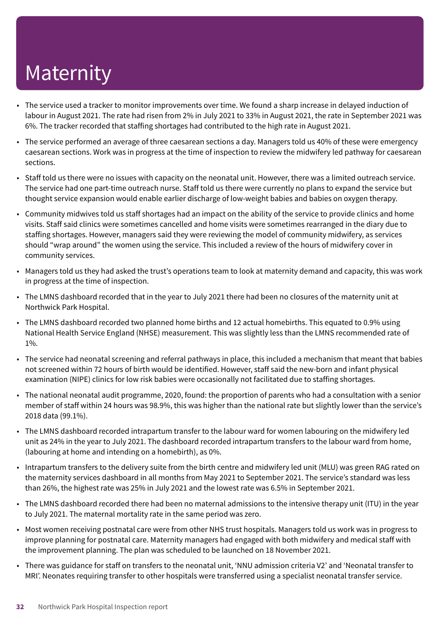- The service used a tracker to monitor improvements over time. We found a sharp increase in delayed induction of labour in August 2021. The rate had risen from 2% in July 2021 to 33% in August 2021, the rate in September 2021 was 6%. The tracker recorded that staffing shortages had contributed to the high rate in August 2021.
- The service performed an average of three caesarean sections a day. Managers told us 40% of these were emergency caesarean sections. Work was in progress at the time of inspection to review the midwifery led pathway for caesarean sections.
- Staff told us there were no issues with capacity on the neonatal unit. However, there was a limited outreach service. The service had one part-time outreach nurse. Staff told us there were currently no plans to expand the service but thought service expansion would enable earlier discharge of low-weight babies and babies on oxygen therapy.
- Community midwives told us staff shortages had an impact on the ability of the service to provide clinics and home visits. Staff said clinics were sometimes cancelled and home visits were sometimes rearranged in the diary due to staffing shortages. However, managers said they were reviewing the model of community midwifery, as services should "wrap around" the women using the service. This included a review of the hours of midwifery cover in community services.
- Managers told us they had asked the trust's operations team to look at maternity demand and capacity, this was work in progress at the time of inspection.
- The LMNS dashboard recorded that in the year to July 2021 there had been no closures of the maternity unit at Northwick Park Hospital.
- The LMNS dashboard recorded two planned home births and 12 actual homebirths. This equated to 0.9% using National Health Service England (NHSE) measurement. This was slightly less than the LMNS recommended rate of 1%.
- The service had neonatal screening and referral pathways in place, this included a mechanism that meant that babies not screened within 72 hours of birth would be identified. However, staff said the new-born and infant physical examination (NIPE) clinics for low risk babies were occasionally not facilitated due to staffing shortages.
- The national neonatal audit programme, 2020, found: the proportion of parents who had a consultation with a senior member of staff within 24 hours was 98.9%, this was higher than the national rate but slightly lower than the service's 2018 data (99.1%).
- The LMNS dashboard recorded intrapartum transfer to the labour ward for women labouring on the midwifery led unit as 24% in the year to July 2021. The dashboard recorded intrapartum transfers to the labour ward from home, (labouring at home and intending on a homebirth), as 0%.
- Intrapartum transfers to the delivery suite from the birth centre and midwifery led unit (MLU) was green RAG rated on the maternity services dashboard in all months from May 2021 to September 2021. The service's standard was less than 26%, the highest rate was 25% in July 2021 and the lowest rate was 6.5% in September 2021.
- The LMNS dashboard recorded there had been no maternal admissions to the intensive therapy unit (ITU) in the year to July 2021. The maternal mortality rate in the same period was zero.
- Most women receiving postnatal care were from other NHS trust hospitals. Managers told us work was in progress to improve planning for postnatal care. Maternity managers had engaged with both midwifery and medical staff with the improvement planning. The plan was scheduled to be launched on 18 November 2021.
- There was guidance for staff on transfers to the neonatal unit, 'NNU admission criteria V2' and 'Neonatal transfer to MRI'. Neonates requiring transfer to other hospitals were transferred using a specialist neonatal transfer service.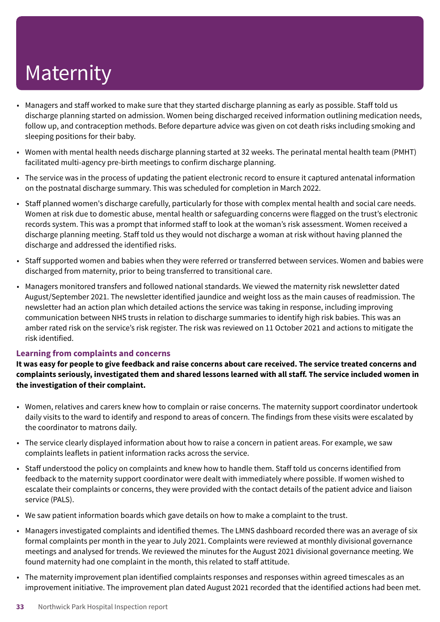- Managers and staff worked to make sure that they started discharge planning as early as possible. Staff told us discharge planning started on admission. Women being discharged received information outlining medication needs, follow up, and contraception methods. Before departure advice was given on cot death risks including smoking and sleeping positions for their baby.
- Women with mental health needs discharge planning started at 32 weeks. The perinatal mental health team (PMHT) facilitated multi-agency pre-birth meetings to confirm discharge planning.
- The service was in the process of updating the patient electronic record to ensure it captured antenatal information on the postnatal discharge summary. This was scheduled for completion in March 2022.
- Staff planned women's discharge carefully, particularly for those with complex mental health and social care needs. Women at risk due to domestic abuse, mental health or safeguarding concerns were flagged on the trust's electronic records system. This was a prompt that informed staff to look at the woman's risk assessment. Women received a discharge planning meeting. Staff told us they would not discharge a woman at risk without having planned the discharge and addressed the identified risks.
- Staff supported women and babies when they were referred or transferred between services. Women and babies were discharged from maternity, prior to being transferred to transitional care.
- Managers monitored transfers and followed national standards. We viewed the maternity risk newsletter dated August/September 2021. The newsletter identified jaundice and weight loss as the main causes of readmission. The newsletter had an action plan which detailed actions the service was taking in response, including improving communication between NHS trusts in relation to discharge summaries to identify high risk babies. This was an amber rated risk on the service's risk register. The risk was reviewed on 11 October 2021 and actions to mitigate the risk identified.

#### **Learning from complaints and concerns**

It was easy for people to give feedback and raise concerns about care received. The service treated concerns and **complaints seriously, investigated them and shared lessons learned with all staff. The service included women in the investigation of their complaint.**

- Women, relatives and carers knew how to complain or raise concerns. The maternity support coordinator undertook daily visits to the ward to identify and respond to areas of concern. The findings from these visits were escalated by the coordinator to matrons daily.
- The service clearly displayed information about how to raise a concern in patient areas. For example, we saw complaints leaflets in patient information racks across the service.
- Staff understood the policy on complaints and knew how to handle them. Staff told us concerns identified from feedback to the maternity support coordinator were dealt with immediately where possible. If women wished to escalate their complaints or concerns, they were provided with the contact details of the patient advice and liaison service (PALS).
- We saw patient information boards which gave details on how to make a complaint to the trust.
- Managers investigated complaints and identified themes. The LMNS dashboard recorded there was an average of six formal complaints per month in the year to July 2021. Complaints were reviewed at monthly divisional governance meetings and analysed for trends. We reviewed the minutes for the August 2021 divisional governance meeting. We found maternity had one complaint in the month, this related to staff attitude.
- The maternity improvement plan identified complaints responses and responses within agreed timescales as an improvement initiative. The improvement plan dated August 2021 recorded that the identified actions had been met.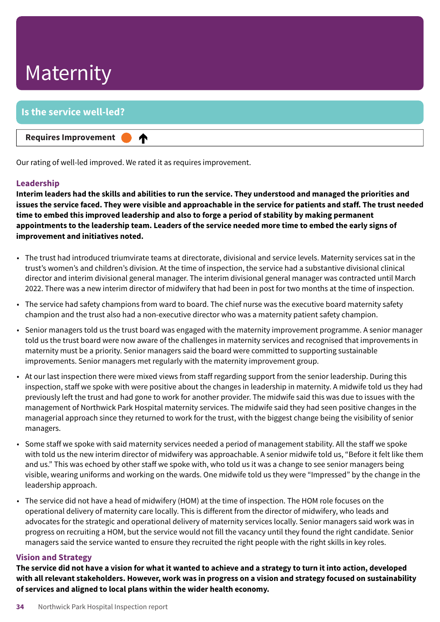### **Is the service well-led?**

**Requires Improvement –––**

♠

Our rating of well-led improved. We rated it as requires improvement.

#### **Leadership**

Interim leaders had the skills and abilities to run the service. They understood and managed the priorities and issues the service faced. They were visible and approachable in the service for patients and staff. The trust needed **time to embed this improved leadership and also to forge a period of stability by making permanent** appointments to the leadership team. Leaders of the service needed more time to embed the early signs of **improvement and initiatives noted.**

- The trust had introduced triumvirate teams at directorate, divisional and service levels. Maternity services sat in the trust's women's and children's division. At the time of inspection, the service had a substantive divisional clinical director and interim divisional general manager. The interim divisional general manager was contracted until March 2022. There was a new interim director of midwifery that had been in post for two months at the time of inspection.
- The service had safety champions from ward to board. The chief nurse was the executive board maternity safety champion and the trust also had a non-executive director who was a maternity patient safety champion.
- Senior managers told us the trust board was engaged with the maternity improvement programme. A senior manager told us the trust board were now aware of the challenges in maternity services and recognised that improvements in maternity must be a priority. Senior managers said the board were committed to supporting sustainable improvements. Senior managers met regularly with the maternity improvement group.
- At our last inspection there were mixed views from staff regarding support from the senior leadership. During this inspection, staff we spoke with were positive about the changes in leadership in maternity. A midwife told us they had previously left the trust and had gone to work for another provider. The midwife said this was due to issues with the management of Northwick Park Hospital maternity services. The midwife said they had seen positive changes in the managerial approach since they returned to work for the trust, with the biggest change being the visibility of senior managers.
- Some staff we spoke with said maternity services needed a period of management stability. All the staff we spoke with told us the new interim director of midwifery was approachable. A senior midwife told us, "Before it felt like them and us." This was echoed by other staff we spoke with, who told us it was a change to see senior managers being visible, wearing uniforms and working on the wards. One midwife told us they were "Impressed" by the change in the leadership approach.
- The service did not have a head of midwifery (HOM) at the time of inspection. The HOM role focuses on the operational delivery of maternity care locally. This is different from the director of midwifery, who leads and advocates for the strategic and operational delivery of maternity services locally. Senior managers said work was in progress on recruiting a HOM, but the service would not fill the vacancy until they found the right candidate. Senior managers said the service wanted to ensure they recruited the right people with the right skills in key roles.

#### **Vision and Strategy**

The service did not have a vision for what it wanted to achieve and a strategy to turn it into action, developed with all relevant stakeholders. However, work was in progress on a vision and strategy focused on sustainability **of services and aligned to local plans within the wider health economy.**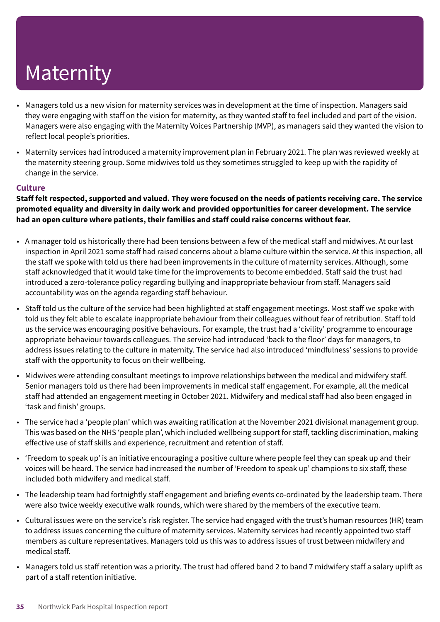- Managers told us a new vision for maternity services was in development at the time of inspection. Managers said they were engaging with staff on the vision for maternity, as they wanted staff to feel included and part of the vision. Managers were also engaging with the Maternity Voices Partnership (MVP), as managers said they wanted the vision to reflect local people's priorities.
- Maternity services had introduced a maternity improvement plan in February 2021. The plan was reviewed weekly at the maternity steering group. Some midwives told us they sometimes struggled to keep up with the rapidity of change in the service.

#### **Culture**

Staff felt respected, supported and valued. They were focused on the needs of patients receiving care. The service **promoted equality and diversity in daily work and provided opportunities for career development. The service had an open culture where patients, their families and staff could raise concerns without fear.**

- A manager told us historically there had been tensions between a few of the medical staff and midwives. At our last inspection in April 2021 some staff had raised concerns about a blame culture within the service. At this inspection, all the staff we spoke with told us there had been improvements in the culture of maternity services. Although, some staff acknowledged that it would take time for the improvements to become embedded. Staff said the trust had introduced a zero-tolerance policy regarding bullying and inappropriate behaviour from staff. Managers said accountability was on the agenda regarding staff behaviour.
- Staff told us the culture of the service had been highlighted at staff engagement meetings. Most staff we spoke with told us they felt able to escalate inappropriate behaviour from their colleagues without fear of retribution. Staff told us the service was encouraging positive behaviours. For example, the trust had a 'civility' programme to encourage appropriate behaviour towards colleagues. The service had introduced 'back to the floor' days for managers, to address issues relating to the culture in maternity. The service had also introduced 'mindfulness' sessions to provide staff with the opportunity to focus on their wellbeing.
- Midwives were attending consultant meetings to improve relationships between the medical and midwifery staff. Senior managers told us there had been improvements in medical staff engagement. For example, all the medical staff had attended an engagement meeting in October 2021. Midwifery and medical staff had also been engaged in 'task and finish' groups.
- The service had a 'people plan' which was awaiting ratification at the November 2021 divisional management group. This was based on the NHS 'people plan', which included wellbeing support for staff, tackling discrimination, making effective use of staff skills and experience, recruitment and retention of staff.
- 'Freedom to speak up' is an initiative encouraging a positive culture where people feel they can speak up and their voices will be heard. The service had increased the number of 'Freedom to speak up' champions to six staff, these included both midwifery and medical staff.
- The leadership team had fortnightly staff engagement and briefing events co-ordinated by the leadership team. There were also twice weekly executive walk rounds, which were shared by the members of the executive team.
- Cultural issues were on the service's risk register. The service had engaged with the trust's human resources (HR) team to address issues concerning the culture of maternity services. Maternity services had recently appointed two staff members as culture representatives. Managers told us this was to address issues of trust between midwifery and medical staff.
- Managers told us staff retention was a priority. The trust had offered band 2 to band 7 midwifery staff a salary uplift as part of a staff retention initiative.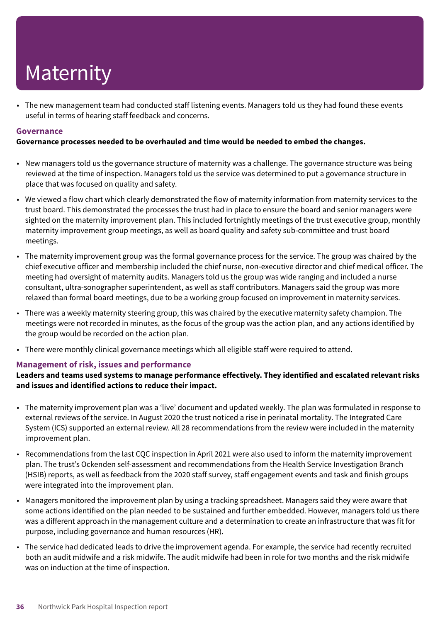• The new management team had conducted staff listening events. Managers told us they had found these events useful in terms of hearing staff feedback and concerns.

#### **Governance**

**Governance processes needed to be overhauled and time would be needed to embed the changes.**

- New managers told us the governance structure of maternity was a challenge. The governance structure was being reviewed at the time of inspection. Managers told us the service was determined to put a governance structure in place that was focused on quality and safety.
- We viewed a flow chart which clearly demonstrated the flow of maternity information from maternity services to the trust board. This demonstrated the processes the trust had in place to ensure the board and senior managers were sighted on the maternity improvement plan. This included fortnightly meetings of the trust executive group, monthly maternity improvement group meetings, as well as board quality and safety sub-committee and trust board meetings.
- The maternity improvement group was the formal governance process for the service. The group was chaired by the chief executive officer and membership included the chief nurse, non-executive director and chief medical officer. The meeting had oversight of maternity audits. Managers told us the group was wide ranging and included a nurse consultant, ultra-sonographer superintendent, as well as staff contributors. Managers said the group was more relaxed than formal board meetings, due to be a working group focused on improvement in maternity services.
- There was a weekly maternity steering group, this was chaired by the executive maternity safety champion. The meetings were not recorded in minutes, as the focus of the group was the action plan, and any actions identified by the group would be recorded on the action plan.
- There were monthly clinical governance meetings which all eligible staff were required to attend.

#### **Management of risk, issues and performance**

**Leaders and teams used systems to manage performance effectively. They identified and escalated relevant risks and issues and identified actions to reduce their impact.**

- The maternity improvement plan was a 'live' document and updated weekly. The plan was formulated in response to external reviews of the service. In August 2020 the trust noticed a rise in perinatal mortality. The Integrated Care System (ICS) supported an external review. All 28 recommendations from the review were included in the maternity improvement plan.
- Recommendations from the last CQC inspection in April 2021 were also used to inform the maternity improvement plan. The trust's Ockenden self-assessment and recommendations from the Health Service Investigation Branch (HSIB) reports, as well as feedback from the 2020 staff survey, staff engagement events and task and finish groups were integrated into the improvement plan.
- Managers monitored the improvement plan by using a tracking spreadsheet. Managers said they were aware that some actions identified on the plan needed to be sustained and further embedded. However, managers told us there was a different approach in the management culture and a determination to create an infrastructure that was fit for purpose, including governance and human resources (HR).
- The service had dedicated leads to drive the improvement agenda. For example, the service had recently recruited both an audit midwife and a risk midwife. The audit midwife had been in role for two months and the risk midwife was on induction at the time of inspection.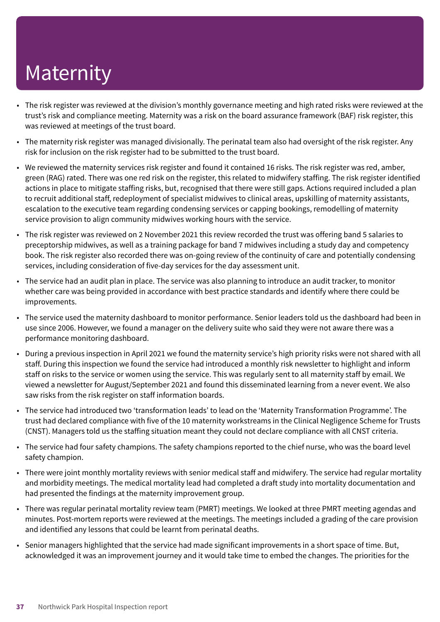- The risk register was reviewed at the division's monthly governance meeting and high rated risks were reviewed at the trust's risk and compliance meeting. Maternity was a risk on the board assurance framework (BAF) risk register, this was reviewed at meetings of the trust board.
- The maternity risk register was managed divisionally. The perinatal team also had oversight of the risk register. Any risk for inclusion on the risk register had to be submitted to the trust board.
- We reviewed the maternity services risk register and found it contained 16 risks. The risk register was red, amber, green (RAG) rated. There was one red risk on the register, this related to midwifery staffing. The risk register identified actions in place to mitigate staffing risks, but, recognised that there were still gaps. Actions required included a plan to recruit additional staff, redeployment of specialist midwives to clinical areas, upskilling of maternity assistants, escalation to the executive team regarding condensing services or capping bookings, remodelling of maternity service provision to align community midwives working hours with the service.
- The risk register was reviewed on 2 November 2021 this review recorded the trust was offering band 5 salaries to preceptorship midwives, as well as a training package for band 7 midwives including a study day and competency book. The risk register also recorded there was on-going review of the continuity of care and potentially condensing services, including consideration of five-day services for the day assessment unit.
- The service had an audit plan in place. The service was also planning to introduce an audit tracker, to monitor whether care was being provided in accordance with best practice standards and identify where there could be improvements.
- The service used the maternity dashboard to monitor performance. Senior leaders told us the dashboard had been in use since 2006. However, we found a manager on the delivery suite who said they were not aware there was a performance monitoring dashboard.
- During a previous inspection in April 2021 we found the maternity service's high priority risks were not shared with all staff. During this inspection we found the service had introduced a monthly risk newsletter to highlight and inform staff on risks to the service or women using the service. This was regularly sent to all maternity staff by email. We viewed a newsletter for August/September 2021 and found this disseminated learning from a never event. We also saw risks from the risk register on staff information boards.
- The service had introduced two 'transformation leads' to lead on the 'Maternity Transformation Programme'. The trust had declared compliance with five of the 10 maternity workstreams in the Clinical Negligence Scheme for Trusts (CNST). Managers told us the staffing situation meant they could not declare compliance with all CNST criteria.
- The service had four safety champions. The safety champions reported to the chief nurse, who was the board level safety champion.
- There were joint monthly mortality reviews with senior medical staff and midwifery. The service had regular mortality and morbidity meetings. The medical mortality lead had completed a draft study into mortality documentation and had presented the findings at the maternity improvement group.
- There was regular perinatal mortality review team (PMRT) meetings. We looked at three PMRT meeting agendas and minutes. Post-mortem reports were reviewed at the meetings. The meetings included a grading of the care provision and identified any lessons that could be learnt from perinatal deaths.
- Senior managers highlighted that the service had made significant improvements in a short space of time. But, acknowledged it was an improvement journey and it would take time to embed the changes. The priorities for the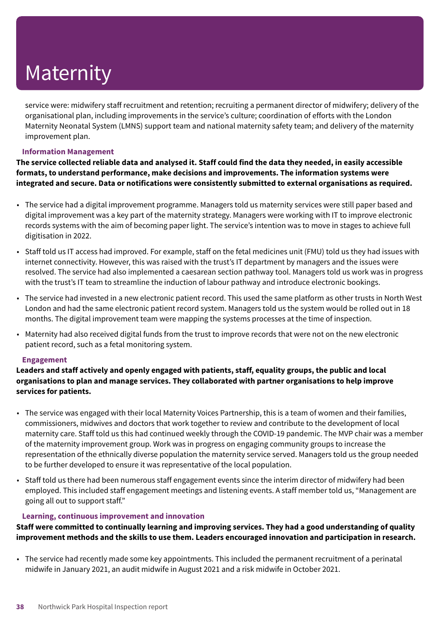service were: midwifery staff recruitment and retention; recruiting a permanent director of midwifery; delivery of the organisational plan, including improvements in the service's culture; coordination of efforts with the London Maternity Neonatal System (LMNS) support team and national maternity safety team; and delivery of the maternity improvement plan.

#### **Information Management**

The service collected reliable data and analysed it. Staff could find the data they needed, in easily accessible **formats, to understand performance, make decisions and improvements. The information systems were integrated and secure. Data or notifications were consistently submitted to external organisations as required.**

- The service had a digital improvement programme. Managers told us maternity services were still paper based and digital improvement was a key part of the maternity strategy. Managers were working with IT to improve electronic records systems with the aim of becoming paper light. The service's intention was to move in stages to achieve full digitisation in 2022.
- Staff told us IT access had improved. For example, staff on the fetal medicines unit (FMU) told us they had issues with internet connectivity. However, this was raised with the trust's IT department by managers and the issues were resolved. The service had also implemented a caesarean section pathway tool. Managers told us work was in progress with the trust's IT team to streamline the induction of labour pathway and introduce electronic bookings.
- The service had invested in a new electronic patient record. This used the same platform as other trusts in North West London and had the same electronic patient record system. Managers told us the system would be rolled out in 18 months. The digital improvement team were mapping the systems processes at the time of inspection.
- Maternity had also received digital funds from the trust to improve records that were not on the new electronic patient record, such as a fetal monitoring system.

#### **Engagement**

**Leaders and staff actively and openly engaged with patients, staff, equality groups, the public and local organisations to plan and manage services. They collaborated with partner organisations to help improve services for patients.**

- The service was engaged with their local Maternity Voices Partnership, this is a team of women and their families, commissioners, midwives and doctors that work together to review and contribute to the development of local maternity care. Staff told us this had continued weekly through the COVID-19 pandemic. The MVP chair was a member of the maternity improvement group. Work was in progress on engaging community groups to increase the representation of the ethnically diverse population the maternity service served. Managers told us the group needed to be further developed to ensure it was representative of the local population.
- Staff told us there had been numerous staff engagement events since the interim director of midwifery had been employed. This included staff engagement meetings and listening events. A staff member told us, "Management are going all out to support staff."

#### **Learning, continuous improvement and innovation**

**Staff were committed to continually learning and improving services. They had a good understanding of quality improvement methods and the skills to use them. Leaders encouraged innovation and participation in research.**

• The service had recently made some key appointments. This included the permanent recruitment of a perinatal midwife in January 2021, an audit midwife in August 2021 and a risk midwife in October 2021.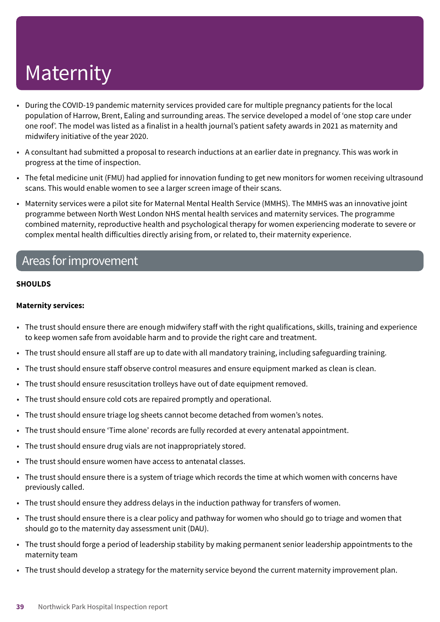- During the COVID-19 pandemic maternity services provided care for multiple pregnancy patients for the local population of Harrow, Brent, Ealing and surrounding areas. The service developed a model of 'one stop care under one roof'. The model was listed as a finalist in a health journal's patient safety awards in 2021 as maternity and midwifery initiative of the year 2020.
- A consultant had submitted a proposal to research inductions at an earlier date in pregnancy. This was work in progress at the time of inspection.
- The fetal medicine unit (FMU) had applied for innovation funding to get new monitors for women receiving ultrasound scans. This would enable women to see a larger screen image of their scans.
- Maternity services were a pilot site for Maternal Mental Health Service (MMHS). The MMHS was an innovative joint programme between North West London NHS mental health services and maternity services. The programme combined maternity, reproductive health and psychological therapy for women experiencing moderate to severe or complex mental health difficulties directly arising from, or related to, their maternity experience.

### Areas forimprovement

#### **SHOULDS**

#### **Maternity services:**

- The trust should ensure there are enough midwifery staff with the right qualifications, skills, training and experience to keep women safe from avoidable harm and to provide the right care and treatment.
- The trust should ensure all staff are up to date with all mandatory training, including safeguarding training.
- The trust should ensure staff observe control measures and ensure equipment marked as clean is clean.
- The trust should ensure resuscitation trolleys have out of date equipment removed.
- The trust should ensure cold cots are repaired promptly and operational.
- The trust should ensure triage log sheets cannot become detached from women's notes.
- The trust should ensure 'Time alone' records are fully recorded at every antenatal appointment.
- The trust should ensure drug vials are not inappropriately stored.
- The trust should ensure women have access to antenatal classes.
- The trust should ensure there is a system of triage which records the time at which women with concerns have previously called.
- The trust should ensure they address delays in the induction pathway for transfers of women.
- The trust should ensure there is a clear policy and pathway for women who should go to triage and women that should go to the maternity day assessment unit (DAU).
- The trust should forge a period of leadership stability by making permanent senior leadership appointments to the maternity team
- The trust should develop a strategy for the maternity service beyond the current maternity improvement plan.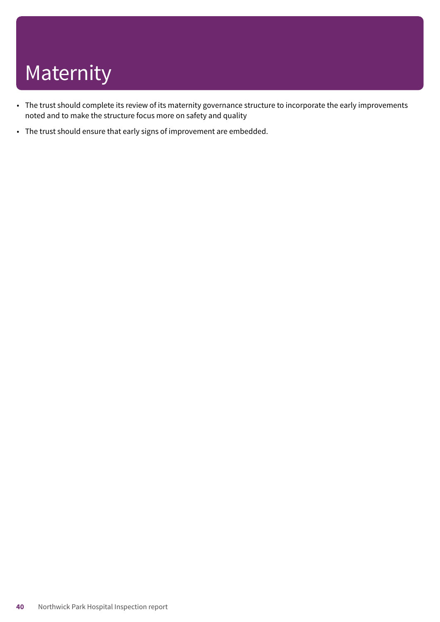- The trust should complete its review of its maternity governance structure to incorporate the early improvements noted and to make the structure focus more on safety and quality
- The trust should ensure that early signs of improvement are embedded.